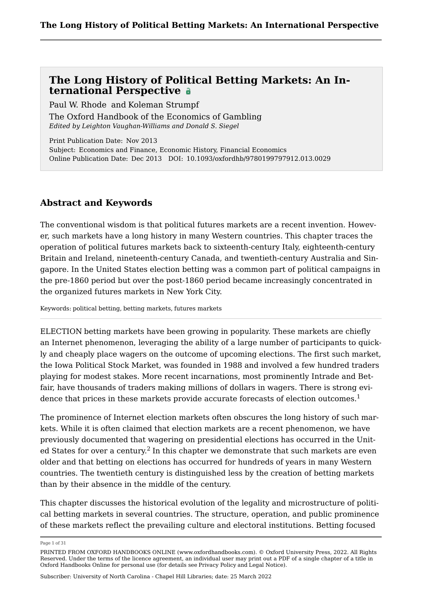Paul W. Rhode and Koleman Strumpf

[The Oxford Handbook of the Economics of Gambling](https://www.oxfordhandbooks.com/view/10.1093/oxfordhb/9780199797912.001.0001/oxfordhb-9780199797912) *Edited by Leighton Vaughan-Williams and Donald S. Siegel*

Print Publication Date: Nov 2013 Subject: Economics and Finance, Economic History, Financial Economics Online Publication Date: Dec 2013 DOI: 10.1093/oxfordhb/9780199797912.013.0029

## Abstract and Keywords

The conventional wisdom is that political futures markets are a recent invention. However, such markets have a long history in many Western countries. This chapter traces the operation of political futures markets back to sixteenth-century Italy, eighteenth-century Britain and Ireland, nineteenth-century Canada, and twentieth-century Australia and Singapore. In the United States election betting was a common part of political campaigns in the pre-1860 period but over the post-1860 period became increasingly concentrated in the organized futures markets in New York City.

Keywords: [political betting](https://www.oxfordhandbooks.com/search?f_0=keyword&q_0=political betting), [betting markets](https://www.oxfordhandbooks.com/search?f_0=keyword&q_0=betting markets), [futures markets](https://www.oxfordhandbooks.com/search?f_0=keyword&q_0=futures markets)

ELECTION betting markets have been growing in popularity. These markets are chiefly an Internet phenomenon, leveraging the ability of a large number of participants to quickly and cheaply place wagers on the outcome of upcoming elections. The first such market, the Iowa Political Stock Market, was founded in 1988 and involved a few hundred traders playing for modest stakes. More recent incarnations, most prominently Intrade and Betfair, have thousands of traders making millions of dollars in wagers. There is strong evi-dence that prices in these markets provide accurate forecasts of election outcomes.<sup>[1](#page-19-0)</sup>

<span id="page-0-1"></span><span id="page-0-0"></span>The prominence of Internet election markets often obscures the long history of such markets. While it is often claimed that election markets are a recent phenomenon, we have previously documented that wagering on presidential elections has occurred in the United States for over a century. $^2$  $^2$  In this chapter we demonstrate that such markets are even older and that betting on elections has occurred for hundreds of years in many Western countries. The twentieth century is distinguished less by the creation of betting markets than by their absence in the middle of the century.

This chapter discusses the historical evolution of the legality and microstructure of political betting markets in several countries. The structure, operation, and public prominence of these markets reflect the prevailing culture and electoral institutions. Betting focused

Page 1 of 31

PRINTED FROM OXFORD HANDBOOKS ONLINE (www.oxfordhandbooks.com). © Oxford University Press, 2022. All Rights Reserved. Under the terms of the licence agreement, an individual user may print out a PDF of a single chapter of a title in Oxford Handbooks Online for personal use (for details see [Privacy Policy](https://global.oup.com/privacy) and [Legal Notice\)](https://www.oxfordhandbooks.com/page/legal-notice).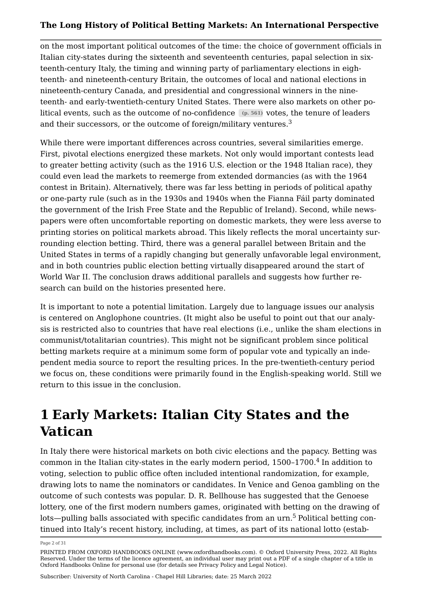on the most important political outcomes of the time: the choice of government officials in Italian city-states during the sixteenth and seventeenth centuries, papal selection in sixteenth-century Italy, the timing and winning party of parliamentary elections in eighteenth- and nineteenth-century Britain, the outcomes of local and national elections in nineteenth-century Canada, and presidential and congressional winners in the nineteenth- and early-twentieth-century United States. There were also markets on other political events, such as the outcome of no-confidence  $(p. 561)$  votes, the tenure of leaders and their successors, or the outcome of foreign/military ventures.<sup>[3](#page-19-2)</sup>

<span id="page-1-0"></span>While there were important differences across countries, several similarities emerge. First, pivotal elections energized these markets. Not only would important contests lead to greater betting activity (such as the 1916 U.S. election or the 1948 Italian race), they could even lead the markets to reemerge from extended dormancies (as with the 1964 contest in Britain). Alternatively, there was far less betting in periods of political apathy or one-party rule (such as in the 1930s and 1940s when the Fianna Fáil party dominated the government of the Irish Free State and the Republic of Ireland). Second, while newspapers were often uncomfortable reporting on domestic markets, they were less averse to printing stories on political markets abroad. This likely reflects the moral uncertainty surrounding election betting. Third, there was a general parallel between Britain and the United States in terms of a rapidly changing but generally unfavorable legal environment, and in both countries public election betting virtually disappeared around the start of World War II. The conclusion draws additional parallels and suggests how further research can build on the histories presented here.

It is important to note a potential limitation. Largely due to language issues our analysis is centered on Anglophone countries. (It might also be useful to point out that our analysis is restricted also to countries that have real elections (i.e., unlike the sham elections in communist/totalitarian countries). This might not be significant problem since political betting markets require at a minimum some form of popular vote and typically an independent media source to report the resulting prices. In the pre-twentieth-century period we focus on, these conditions were primarily found in the English-speaking world. Still we return to this issue in the conclusion.

## 1 Early Markets: Italian City States and the Vatican

<span id="page-1-1"></span>In Italy there were historical markets on both civic elections and the papacy. Betting was common in the Italian city-states in the early modern period,  $1500$ - $1700.^4$  $1700.^4$  In addition to voting, selection to public office often included intentional randomization, for example, drawing lots to name the nominators or candidates. In Venice and Genoa gambling on the outcome of such contests was popular. D. R. Bellhouse has suggested that the Genoese lottery, one of the first modern numbers games, originated with betting on the drawing of lots—pulling balls associated with specific candidates from an urn.<sup>[5](#page-19-4)</sup> Political betting continued into Italy's recent history, including, at times, as part of its national lotto (estab

<span id="page-1-2"></span>Page 2 of 31

PRINTED FROM OXFORD HANDBOOKS ONLINE (www.oxfordhandbooks.com). © Oxford University Press, 2022. All Rights Reserved. Under the terms of the licence agreement, an individual user may print out a PDF of a single chapter of a title in Oxford Handbooks Online for personal use (for details see [Privacy Policy](https://global.oup.com/privacy) and [Legal Notice\)](https://www.oxfordhandbooks.com/page/legal-notice).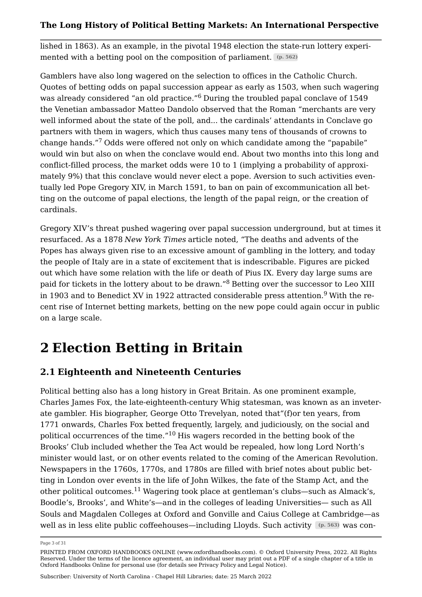lished in 1863). As an example, in the pivotal 1948 election the state-run lottery experimented with a betting pool on the composition of parliament. (p. 562)

<span id="page-2-1"></span><span id="page-2-0"></span>Gamblers have also long wagered on the selection to offices in the Catholic Church. Quotes of betting odds on papal succession appear as early as 1503, when such wagering was already considered "an old practice."[6](#page-19-5) During the troubled papal conclave of 1549 the Venetian ambassador Matteo Dandolo observed that the Roman "merchants are very well informed about the state of the poll, and... the cardinals' attendants in Conclave go partners with them in wagers, which thus causes many tens of thousands of crowns to change hands."[7](#page-19-6) Odds were offered not only on which candidate among the "papabile" would win but also on when the conclave would end. About two months into this long and conflict-filled process, the market odds were 10 to 1 (implying a probability of approximately 9%) that this conclave would never elect a pope. Aversion to such activities eventually led Pope Gregory XIV, in March 1591, to ban on pain of excommunication all betting on the outcome of papal elections, the length of the papal reign, or the creation of cardinals.

Gregory XIV's threat pushed wagering over papal succession underground, but at times it resurfaced. As a 1878 *New York Times* article noted, "The deaths and advents of the Popes has always given rise to an excessive amount of gambling in the lottery, and today the people of Italy are in a state of excitement that is indescribable. Figures are picked out which have some relation with the life or death of Pius IX. Every day large sums are paid for tickets in the lottery about to be drawn."[8](#page-20-0) Betting over the successor to Leo XIII in 1[9](#page-20-1)03 and to Benedict XV in 1922 attracted considerable press attention.<sup>9</sup> With the recent rise of Internet betting markets, betting on the new pope could again occur in public on a large scale.

# <span id="page-2-3"></span><span id="page-2-2"></span>2 Election Betting in Britain

## 2.1 Eighteenth and Nineteenth Centuries

<span id="page-2-4"></span>Political betting also has a long history in Great Britain. As one prominent example, Charles James Fox, the late-eighteenth-century Whig statesman, was known as an inveterate gambler. His biographer, George Otto Trevelyan, noted that"(f)or ten years, from 1771 onwards, Charles Fox betted frequently, largely, and judiciously, on the social and political occurrences of the time."[10](#page-20-2) His wagers recorded in the betting book of the Brooks' Club included whether the Tea Act would be repealed, how long Lord North's minister would last, or on other events related to the coming of the American Revolution. Newspapers in the 1760s, 1770s, and 1780s are filled with brief notes about public betting in London over events in the life of John Wilkes, the fate of the Stamp Act, and the other political outcomes.<sup>[11](#page-20-3)</sup> Wagering took place at gentleman's clubs—such as Almack's, Boodle's, Brooks', and White's—and in the colleges of leading Universities— such as All Souls and Magdalen Colleges at Oxford and Gonville and Caius College at Cambridge—as well as in less elite public coffeehouses—including Lloyds. Such activity (p. 563) was con-

<span id="page-2-5"></span>Page 3 of 31

PRINTED FROM OXFORD HANDBOOKS ONLINE (www.oxfordhandbooks.com). © Oxford University Press, 2022. All Rights Reserved. Under the terms of the licence agreement, an individual user may print out a PDF of a single chapter of a title in Oxford Handbooks Online for personal use (for details see [Privacy Policy](https://global.oup.com/privacy) and [Legal Notice\)](https://www.oxfordhandbooks.com/page/legal-notice).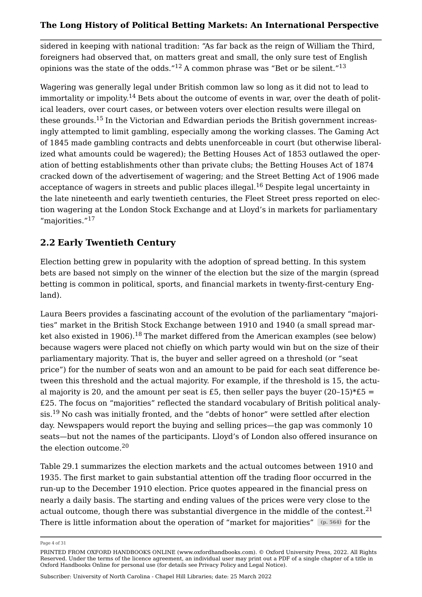sidered in keeping with national tradition: "As far back as the reign of William the Third, foreigners had observed that, on matters great and small, the only sure test of English opinions was the state of the odds." $^{12}$  $^{12}$  $^{12}$  A common phrase was "Bet or be silent." $^{13}$  $^{13}$  $^{13}$ 

<span id="page-3-3"></span><span id="page-3-2"></span><span id="page-3-1"></span><span id="page-3-0"></span>Wagering was generally legal under British common law so long as it did not to lead to immortality or impolity.<sup>[14](#page-20-6)</sup> Bets about the outcome of events in war, over the death of political leaders, over court cases, or between voters over election results were illegal on these grounds.[15](#page-20-7) In the Victorian and Edwardian periods the British government increasingly attempted to limit gambling, especially among the working classes. The Gaming Act of 1845 made gambling contracts and debts unenforceable in court (but otherwise liberalized what amounts could be wagered); the Betting Houses Act of 1853 outlawed the operation of betting establishments other than private clubs; the Betting Houses Act of 1874 cracked down of the advertisement of wagering; and the Street Betting Act of 1906 made acceptance of wagers in streets and public places illegal.[16](#page-21-0) Despite legal uncertainty in the late nineteenth and early twentieth centuries, the Fleet Street press reported on election wagering at the London Stock Exchange and at Lloyd's in markets for parliamentary "majorities."<sup>[17](#page-21-1)</sup>

## <span id="page-3-5"></span><span id="page-3-4"></span>2.2 Early Twentieth Century

Election betting grew in popularity with the adoption of spread betting. In this system bets are based not simply on the winner of the election but the size of the margin (spread betting is common in political, sports, and financial markets in twenty-first-century England).

<span id="page-3-6"></span>Laura Beers provides a fascinating account of the evolution of the parliamentary "majorities" market in the British Stock Exchange between 1910 and 1940 (a small spread mar-ket also existed in 1906).<sup>[18](#page-21-2)</sup> The market differed from the American examples (see below) because wagers were placed not chiefly on which party would win but on the size of their parliamentary majority. That is, the buyer and seller agreed on a threshold (or "seat price") for the number of seats won and an amount to be paid for each seat difference between this threshold and the actual majority. For example, if the threshold is 15, the actual majority is 20, and the amount per seat is £5, then seller pays the buyer  $(20-15)*E5 =$ £25. The focus on "majorities" reflected the standard vocabulary of British political analysis.[19](#page-21-3) No cash was initially fronted, and the "debts of honor" were settled after election day. Newspapers would report the buying and selling prices—the gap was commonly 10 seats—but not the names of the participants. Lloyd's of London also offered insurance on the election outcome.[20](#page-21-4)

<span id="page-3-8"></span><span id="page-3-7"></span>Table [29.1](#page-5-0) summarizes the election markets and the actual outcomes between 1910 and 1935. The first market to gain substantial attention off the trading floor occurred in the run-up to the December 1910 election. Price quotes appeared in the financial press on nearly a daily basis. The starting and ending values of the prices were very close to the actual outcome, though there was substantial divergence in the middle of the contest.<sup>[21](#page-21-5)</sup> There is little information about the operation of "market for majorities"  $(p. 564)$  for the

<span id="page-3-9"></span>Page 4 of 31

PRINTED FROM OXFORD HANDBOOKS ONLINE (www.oxfordhandbooks.com). © Oxford University Press, 2022. All Rights Reserved. Under the terms of the licence agreement, an individual user may print out a PDF of a single chapter of a title in Oxford Handbooks Online for personal use (for details see [Privacy Policy](https://global.oup.com/privacy) and [Legal Notice\)](https://www.oxfordhandbooks.com/page/legal-notice).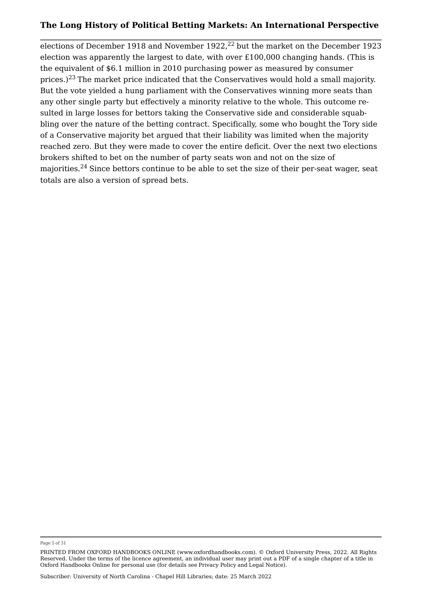<span id="page-4-2"></span><span id="page-4-1"></span><span id="page-4-0"></span>elections of December 1918 and November 19[22](#page-21-6),<sup>22</sup> but the market on the December 1923 election was apparently the largest to date, with over £100,000 changing hands. (This is the equivalent of \$6.1 million in 2010 purchasing power as measured by consumer prices.)<sup>[23](#page-21-7)</sup> The market price indicated that the Conservatives would hold a small majority. But the vote yielded a hung parliament with the Conservatives winning more seats than any other single party but effectively a minority relative to the whole. This outcome resulted in large losses for bettors taking the Conservative side and considerable squabbling over the nature of the betting contract. Specifically, some who bought the Tory side of a Conservative majority bet argued that their liability was limited when the majority reached zero. But they were made to cover the entire deficit. Over the next two elections brokers shifted to bet on the number of party seats won and not on the size of majorities.<sup>[24](#page-21-8)</sup> Since bettors continue to be able to set the size of their per-seat wager, seat totals are also a version of spread bets.

#### Page 5 of 31

PRINTED FROM OXFORD HANDBOOKS ONLINE (www.oxfordhandbooks.com). © Oxford University Press, 2022. All Rights Reserved. Under the terms of the licence agreement, an individual user may print out a PDF of a single chapter of a title in Oxford Handbooks Online for personal use (for details see [Privacy Policy](https://global.oup.com/privacy) and [Legal Notice\)](https://www.oxfordhandbooks.com/page/legal-notice).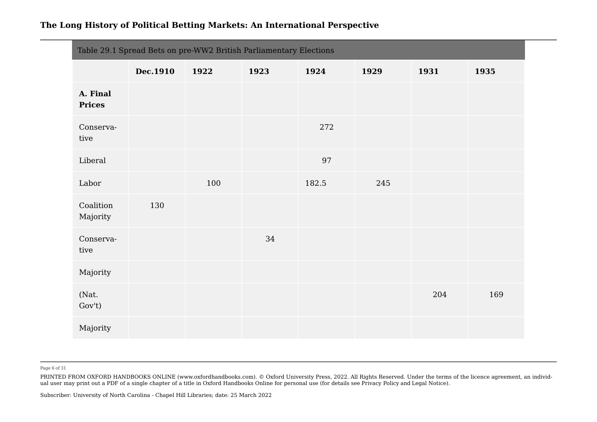| Table 29.1 Spread Bets on pre-WW2 British Parliamentary Elections |                 |      |      |       |      |      |      |  |  |  |
|-------------------------------------------------------------------|-----------------|------|------|-------|------|------|------|--|--|--|
|                                                                   | <b>Dec.1910</b> | 1922 | 1923 | 1924  | 1929 | 1931 | 1935 |  |  |  |
| A. Final<br><b>Prices</b>                                         |                 |      |      |       |      |      |      |  |  |  |
| Conserva-<br>tive                                                 |                 |      |      | 272   |      |      |      |  |  |  |
| Liberal                                                           |                 |      |      | 97    |      |      |      |  |  |  |
| Labor                                                             |                 | 100  |      | 182.5 | 245  |      |      |  |  |  |
| Coalition<br>Majority                                             | 130             |      |      |       |      |      |      |  |  |  |
| Conserva-<br>tive                                                 |                 |      | 34   |       |      |      |      |  |  |  |
| Majority                                                          |                 |      |      |       |      |      |      |  |  |  |
| (Nat.<br>Gov't)                                                   |                 |      |      |       |      | 204  | 169  |  |  |  |
| Majority                                                          |                 |      |      |       |      |      |      |  |  |  |

<span id="page-5-0"></span>Page 6 of 31

Subscriber: University of North Carolina - Chapel Hill Libraries; date: 25 March 2022

PRINTED FROM OXFORD HANDBOOKS ONLINE (www.oxfordhandbooks.com). © Oxford University Press, 2022. All Rights Reserved. Under the terms of the licence agreement, an individual user may print out a PDF of a single chapter of a title in Oxford Handbooks Online for personal use (for details see [Privacy Policy](https://global.oup.com/privacy) and [Legal Notice](https://www.oxfordhandbooks.com/page/legal-notice)).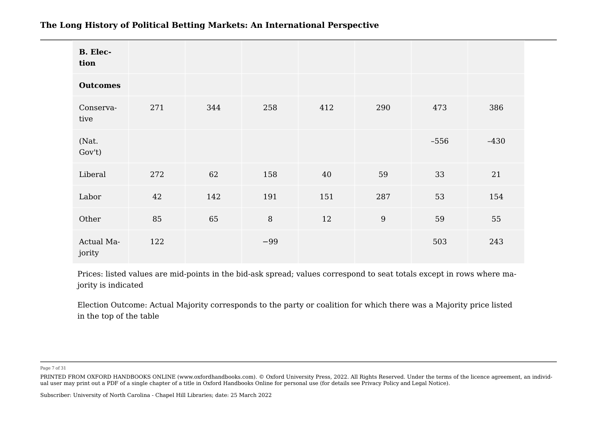| B. Elec-<br>tion     |     |     |        |     |     |        |        |
|----------------------|-----|-----|--------|-----|-----|--------|--------|
| <b>Outcomes</b>      |     |     |        |     |     |        |        |
| Conserva-<br>tive    | 271 | 344 | 258    | 412 | 290 | 473    | 386    |
| (Nat.<br>Gov't)      |     |     |        |     |     | $-556$ | $-430$ |
| Liberal              | 272 | 62  | 158    | 40  | 59  | 33     | 21     |
| Labor                | 42  | 142 | 191    | 151 | 287 | 53     | 154    |
| Other                | 85  | 65  | $\, 8$ | 12  | 9   | 59     | 55     |
| Actual Ma-<br>jority | 122 |     | $-99$  |     |     | 503    | 243    |

Prices: listed values are mid-points in the bid-ask spread; values correspond to seat totals except in rows where majority is indicated

Election Outcome: Actual Majority corresponds to the party or coalition for which there was a Majority price listed in the top of the table

Page 7 of 31

PRINTED FROM OXFORD HANDBOOKS ONLINE (www.oxfordhandbooks.com). © Oxford University Press, 2022. All Rights Reserved. Under the terms of the licence agreement, an individual user may print out a PDF of a single chapter of a title in Oxford Handbooks Online for personal use (for details see [Privacy Policy](https://global.oup.com/privacy) and [Legal Notice](https://www.oxfordhandbooks.com/page/legal-notice)).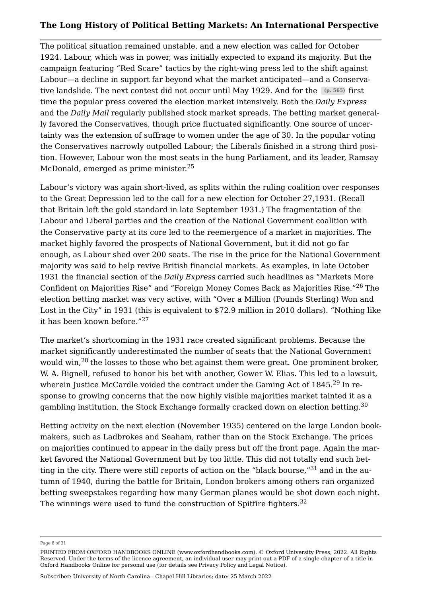The political situation remained unstable, and a new election was called for October 1924. Labour, which was in power, was initially expected to expand its majority. But the campaign featuring "Red Scare" tactics by the right-wing press led to the shift against Labour—a decline in support far beyond what the market anticipated—and a Conservative landslide. The next contest did not occur until May 1929. And for the (p. 565) first time the popular press covered the election market intensively. Both the *Daily Express* and the *Daily Mail* regularly published stock market spreads. The betting market generally favored the Conservatives, though price fluctuated significantly. One source of uncertainty was the extension of suffrage to women under the age of 30. In the popular voting the Conservatives narrowly outpolled Labour; the Liberals finished in a strong third position. However, Labour won the most seats in the hung Parliament, and its leader, Ramsay McDonald, emerged as prime minister.<sup>[25](#page-21-9)</sup>

<span id="page-7-0"></span>Labour's victory was again short-lived, as splits within the ruling coalition over responses to the Great Depression led to the call for a new election for October 27,1931. (Recall that Britain left the gold standard in late September 1931.) The fragmentation of the Labour and Liberal parties and the creation of the National Government coalition with the Conservative party at its core led to the reemergence of a market in majorities. The market highly favored the prospects of National Government, but it did not go far enough, as Labour shed over 200 seats. The rise in the price for the National Government majority was said to help revive British financial markets. As examples, in late October 1931 the financial section of the *Daily Express* carried such headlines as "Markets More Confident on Majorities Rise" and "Foreign Money Comes Back as Majorities Rise."[26](#page-22-0) The election betting market was very active, with "Over a Million (Pounds Sterling) Won and Lost in the City" in 1931 (this is equivalent to \$72.9 million in 2010 dollars). "Nothing like it has been known before."[27](#page-22-1)

<span id="page-7-3"></span><span id="page-7-2"></span><span id="page-7-1"></span>The market's shortcoming in the 1931 race created significant problems. Because the market significantly underestimated the number of seats that the National Government would win, $^{28}$  $^{28}$  $^{28}$  the losses to those who bet against them were great. One prominent broker, W. A. Bignell, refused to honor his bet with another, Gower W. Elias. This led to a lawsuit, wherein Justice McCardle voided the contract under the Gaming Act of 1845.<sup>[29](#page-22-3)</sup> In response to growing concerns that the now highly visible majorities market tainted it as a gambling institution, the Stock Exchange formally cracked down on election betting.<sup>[30](#page-22-4)</sup>

<span id="page-7-6"></span><span id="page-7-5"></span><span id="page-7-4"></span>Betting activity on the next election (November 1935) centered on the large London bookmakers, such as Ladbrokes and Seaham, rather than on the Stock Exchange. The prices on majorities continued to appear in the daily press but off the front page. Again the market favored the National Government but by too little. This did not totally end such betting in the city. There were still reports of action on the "black bourse," $31$  and in the autumn of 1940, during the battle for Britain, London brokers among others ran organized betting sweepstakes regarding how many German planes would be shot down each night. The winnings were used to fund the construction of Spitfire fighters.<sup>[32](#page-22-6)</sup>

<span id="page-7-7"></span>Page 8 of 31

PRINTED FROM OXFORD HANDBOOKS ONLINE (www.oxfordhandbooks.com). © Oxford University Press, 2022. All Rights Reserved. Under the terms of the licence agreement, an individual user may print out a PDF of a single chapter of a title in Oxford Handbooks Online for personal use (for details see [Privacy Policy](https://global.oup.com/privacy) and [Legal Notice\)](https://www.oxfordhandbooks.com/page/legal-notice).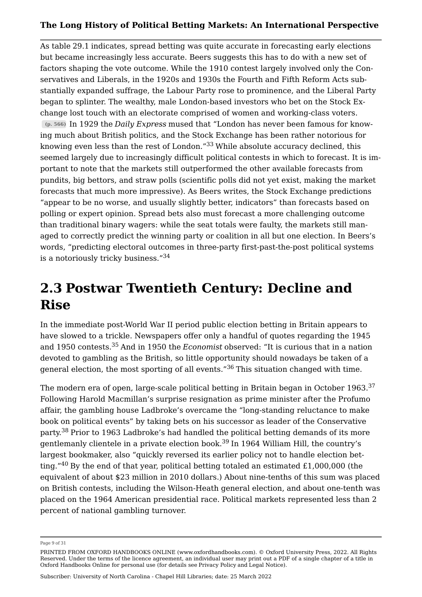<span id="page-8-0"></span>As table [29.1](#page-5-0) indicates, spread betting was quite accurate in forecasting early elections but became increasingly less accurate. Beers suggests this has to do with a new set of factors shaping the vote outcome. While the 1910 contest largely involved only the Conservatives and Liberals, in the 1920s and 1930s the Fourth and Fifth Reform Acts substantially expanded suffrage, the Labour Party rose to prominence, and the Liberal Party began to splinter. The wealthy, male London-based investors who bet on the Stock Exchange lost touch with an electorate comprised of women and working-class voters. (p. 566) In 1929 the *Daily Express* mused that "London has never been famous for knowing much about British politics, and the Stock Exchange has been rather notorious for knowing even less than the rest of London."[33](#page-22-7) While absolute accuracy declined, this seemed largely due to increasingly difficult political contests in which to forecast. It is important to note that the markets still outperformed the other available forecasts from pundits, big bettors, and straw polls (scientific polls did not yet exist, making the market forecasts that much more impressive). As Beers writes, the Stock Exchange predictions "appear to be no worse, and usually slightly better, indicators" than forecasts based on polling or expert opinion. Spread bets also must forecast a more challenging outcome than traditional binary wagers: while the seat totals were faulty, the markets still managed to correctly predict the winning party or coalition in all but one election. In Beers's words, "predicting electoral outcomes in three-party first-past-the-post political systems is a notoriously tricky business."[34](#page-22-8)

## <span id="page-8-1"></span>2.3 Postwar Twentieth Century: Decline and Rise

<span id="page-8-2"></span>In the immediate post-World War II period public election betting in Britain appears to have slowed to a trickle. Newspapers offer only a handful of quotes regarding the 1945 and 1950 contests.[35](#page-22-9) And in 1950 the *Economist* observed: "It is curious that in a nation devoted to gambling as the British, so little opportunity should nowadays be taken of a general election, the most sporting of all events."[36](#page-22-10) This situation changed with time.

<span id="page-8-6"></span><span id="page-8-5"></span><span id="page-8-4"></span><span id="page-8-3"></span>The modern era of open, large-scale political betting in Britain began in October 1963.<sup>[37](#page-22-11)</sup> Following Harold Macmillan's surprise resignation as prime minister after the Profumo affair, the gambling house Ladbroke's overcame the "long-standing reluctance to make book on political events" by taking bets on his successor as leader of the Conservative party.[38](#page-22-12) Prior to 1963 Ladbroke's had handled the political betting demands of its more gentlemanly clientele in a private election book.[39](#page-23-0) In 1964 William Hill, the country's largest bookmaker, also "quickly reversed its earlier policy not to handle election bet-ting."<sup>[40](#page-23-1)</sup> By the end of that year, political betting totaled an estimated £1,000,000 (the equivalent of about \$23 million in 2010 dollars.) About nine-tenths of this sum was placed on British contests, including the Wilson-Heath general election, and about one-tenth was placed on the 1964 American presidential race. Political markets represented less than 2 percent of national gambling turnover.

<span id="page-8-7"></span>Page 9 of 31

PRINTED FROM OXFORD HANDBOOKS ONLINE (www.oxfordhandbooks.com). © Oxford University Press, 2022. All Rights Reserved. Under the terms of the licence agreement, an individual user may print out a PDF of a single chapter of a title in Oxford Handbooks Online for personal use (for details see [Privacy Policy](https://global.oup.com/privacy) and [Legal Notice\)](https://www.oxfordhandbooks.com/page/legal-notice).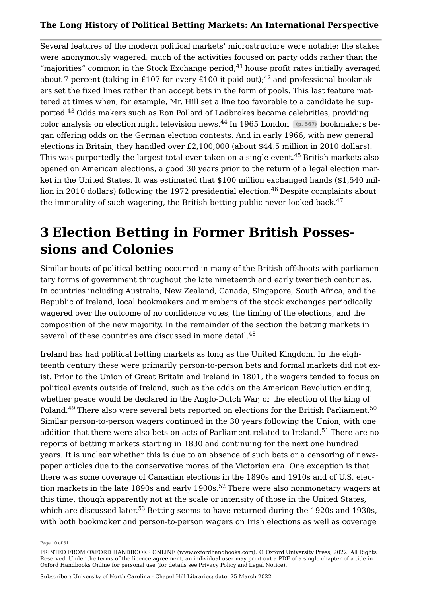<span id="page-9-3"></span><span id="page-9-2"></span><span id="page-9-1"></span><span id="page-9-0"></span>Several features of the modern political markets' microstructure were notable: the stakes were anonymously wagered; much of the activities focused on party odds rather than the "majorities" common in the Stock Exchange period; $41$  house profit rates initially averaged about 7 percent (taking in £107 for every £100 it paid out);<sup>[42](#page-23-3)</sup> and professional bookmakers set the fixed lines rather than accept bets in the form of pools. This last feature mattered at times when, for example, Mr. Hill set a line too favorable to a candidate he supported.[43](#page-23-4) Odds makers such as Ron Pollard of Ladbrokes became celebrities, providing color analysis on election night television news.<sup>[44](#page-23-5)</sup> In 1965 London (p. 567) bookmakers began offering odds on the German election contests. And in early 1966, with new general elections in Britain, they handled over £2,100,000 (about \$44.5 million in 2010 dollars). This was purportedly the largest total ever taken on a single event.[45](#page-23-6) British markets also opened on American elections, a good 30 years prior to the return of a legal election market in the United States. It was estimated that \$100 million exchanged hands (\$1,540 mil-lion in 2010 dollars) following the 1972 presidential election.<sup>[46](#page-23-7)</sup> Despite complaints about the immorality of such wagering, the British betting public never looked back. $47$ 

## <span id="page-9-6"></span><span id="page-9-5"></span><span id="page-9-4"></span>3 Election Betting in Former British Possessions and Colonies

Similar bouts of political betting occurred in many of the British offshoots with parliamentary forms of government throughout the late nineteenth and early twentieth centuries. In countries including Australia, New Zealand, Canada, Singapore, South Africa, and the Republic of Ireland, local bookmakers and members of the stock exchanges periodically wagered over the outcome of no confidence votes, the timing of the elections, and the composition of the new majority. In the remainder of the section the betting markets in several of these countries are discussed in more detail.<sup>[48](#page-23-9)</sup>

<span id="page-9-10"></span><span id="page-9-9"></span><span id="page-9-8"></span><span id="page-9-7"></span>Ireland has had political betting markets as long as the United Kingdom. In the eighteenth century these were primarily person-to-person bets and formal markets did not exist. Prior to the Union of Great Britain and Ireland in 1801, the wagers tended to focus on political events outside of Ireland, such as the odds on the American Revolution ending, whether peace would be declared in the Anglo-Dutch War, or the election of the king of Poland.<sup>[49](#page-23-10)</sup> There also were several bets reported on elections for the British Parliament.<sup>[50](#page-23-11)</sup> Similar person-to-person wagers continued in the 30 years following the Union, with one addition that there were also bets on acts of Parliament related to Ireland.<sup>[51](#page-23-12)</sup> There are no reports of betting markets starting in 1830 and continuing for the next one hundred years. It is unclear whether this is due to an absence of such bets or a censoring of newspaper articles due to the conservative mores of the Victorian era. One exception is that there was some coverage of Canadian elections in the 1890s and 1910s and of U.S. elec-tion markets in the late 1890s and early 1900s.<sup>[52](#page-23-13)</sup> There were also nonmonetary wagers at this time, though apparently not at the scale or intensity of those in the United States, which are discussed later.<sup>[53](#page-24-0)</sup> Betting seems to have returned during the 1920s and 1930s, with both bookmaker and person-to-person wagers on Irish elections as well as coverage

<span id="page-9-12"></span><span id="page-9-11"></span>Page 10 of 31

PRINTED FROM OXFORD HANDBOOKS ONLINE (www.oxfordhandbooks.com). © Oxford University Press, 2022. All Rights Reserved. Under the terms of the licence agreement, an individual user may print out a PDF of a single chapter of a title in Oxford Handbooks Online for personal use (for details see [Privacy Policy](https://global.oup.com/privacy) and [Legal Notice\)](https://www.oxfordhandbooks.com/page/legal-notice).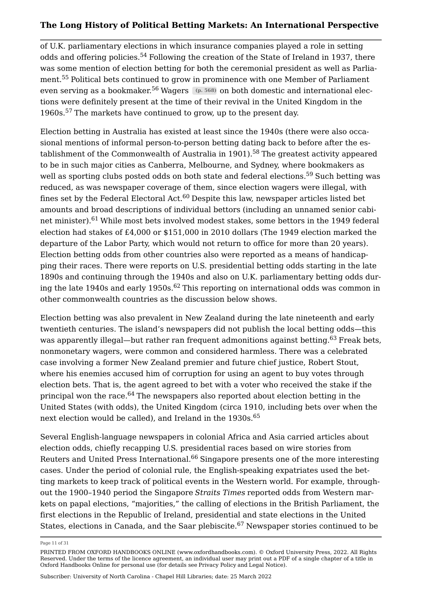<span id="page-10-1"></span><span id="page-10-0"></span>of U.K. parliamentary elections in which insurance companies played a role in setting odds and offering policies.<sup>[54](#page-24-1)</sup> Following the creation of the State of Ireland in 1937, there was some mention of election betting for both the ceremonial president as well as Parliament.[55](#page-24-2) Political bets continued to grow in prominence with one Member of Parliament even serving as a bookmaker.<sup>[56](#page-24-3)</sup> Wagers ( $p. 568$ ) on both domestic and international elections were definitely present at the time of their revival in the United Kingdom in the 1960s.[57](#page-24-4) The markets have continued to grow, up to the present day.

<span id="page-10-7"></span><span id="page-10-6"></span><span id="page-10-5"></span><span id="page-10-4"></span><span id="page-10-3"></span><span id="page-10-2"></span>Election betting in Australia has existed at least since the 1940s (there were also occasional mentions of informal person-to-person betting dating back to before after the establishment of the Commonwealth of Australia in  $1901$ .<sup>[58](#page-24-5)</sup> The greatest activity appeared to be in such major cities as Canberra, Melbourne, and Sydney, where bookmakers as well as sporting clubs posted odds on both state and federal elections.<sup>[59](#page-24-6)</sup> Such betting was reduced, as was newspaper coverage of them, since election wagers were illegal, with fines set by the Federal Electoral Act. $60$  Despite this law, newspaper articles listed bet amounts and broad descriptions of individual bettors (including an unnamed senior cabinet minister).[61](#page-24-8) While most bets involved modest stakes, some bettors in the 1949 federal election had stakes of £4,000 or \$151,000 in 2010 dollars (The 1949 election marked the departure of the Labor Party, which would not return to office for more than 20 years). Election betting odds from other countries also were reported as a means of handicapping their races. There were reports on U.S. presidential betting odds starting in the late 1890s and continuing through the 1940s and also on U.K. parliamentary betting odds dur-ing the late 1940s and early 1950s.<sup>[62](#page-24-9)</sup> This reporting on international odds was common in other commonwealth countries as the discussion below shows.

<span id="page-10-9"></span><span id="page-10-8"></span>Election betting was also prevalent in New Zealand during the late nineteenth and early twentieth centuries. The island's newspapers did not publish the local betting odds—this was apparently illegal—but rather ran frequent admonitions against betting.<sup>[63](#page-24-10)</sup> Freak bets, nonmonetary wagers, were common and considered harmless. There was a celebrated case involving a former New Zealand premier and future chief justice, Robert Stout, where his enemies accused him of corruption for using an agent to buy votes through election bets. That is, the agent agreed to bet with a voter who received the stake if the principal won the race. $64$  The newspapers also reported about election betting in the United States (with odds), the United Kingdom (circa 1910, including bets over when the next election would be called), and Ireland in the 1930s.<sup>[65](#page-25-0)</sup>

<span id="page-10-12"></span><span id="page-10-11"></span><span id="page-10-10"></span>Several English-language newspapers in colonial Africa and Asia carried articles about election odds, chiefly recapping U.S. presidential races based on wire stories from Reuters and United Press International.<sup>[66](#page-25-1)</sup> Singapore presents one of the more interesting cases. Under the period of colonial rule, the English-speaking expatriates used the betting markets to keep track of political events in the Western world. For example, throughout the 1900–1940 period the Singapore *Straits Times* reported odds from Western markets on papal elections, "majorities," the calling of elections in the British Parliament, the first elections in the Republic of Ireland, presidential and state elections in the United States, elections in Canada, and the Saar plebiscite.<sup>[67](#page-25-2)</sup> Newspaper stories continued to be

<span id="page-10-13"></span>Page 11 of 31

PRINTED FROM OXFORD HANDBOOKS ONLINE (www.oxfordhandbooks.com). © Oxford University Press, 2022. All Rights Reserved. Under the terms of the licence agreement, an individual user may print out a PDF of a single chapter of a title in Oxford Handbooks Online for personal use (for details see [Privacy Policy](https://global.oup.com/privacy) and [Legal Notice\)](https://www.oxfordhandbooks.com/page/legal-notice).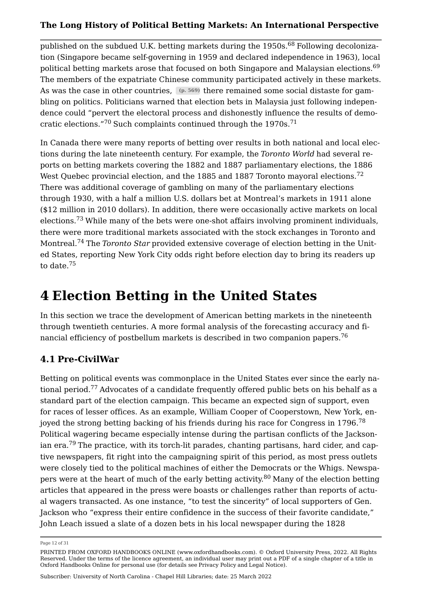<span id="page-11-1"></span><span id="page-11-0"></span>published on the subdued U.K. betting markets during the  $1950s<sup>68</sup>$  $1950s<sup>68</sup>$  $1950s<sup>68</sup>$  Following decolonization (Singapore became self-governing in 1959 and declared independence in 1963), local political betting markets arose that focused on both Singapore and Malaysian elections.[69](#page-25-4) The members of the expatriate Chinese community participated actively in these markets. As was the case in other countries, (p. 569) there remained some social distaste for gambling on politics. Politicians warned that election bets in Malaysia just following independence could "pervert the electoral process and dishonestly influence the results of demo-cratic elections."<sup>[70](#page-25-5)</sup> Such complaints continued through the  $1970s$ .<sup>[71](#page-25-6)</sup>

<span id="page-11-4"></span><span id="page-11-3"></span><span id="page-11-2"></span>In Canada there were many reports of betting over results in both national and local elections during the late nineteenth century. For example, the *Toronto World* had several reports on betting markets covering the 1882 and 1887 parliamentary elections, the 1886 West Quebec provincial election, and the 1885 and 1887 Toronto mayoral elections.<sup>[72](#page-25-7)</sup> There was additional coverage of gambling on many of the parliamentary elections through 1930, with a half a million U.S. dollars bet at Montreal's markets in 1911 alone (\$12 million in 2010 dollars). In addition, there were occasionally active markets on local elections.[73](#page-25-8) While many of the bets were one-shot affairs involving prominent individuals, there were more traditional markets associated with the stock exchanges in Toronto and Montreal.[74](#page-25-9) The *Toronto Star* provided extensive coverage of election betting in the United States, reporting New York City odds right before election day to bring its readers up to date.[75](#page-25-10)

## <span id="page-11-7"></span><span id="page-11-6"></span><span id="page-11-5"></span>4 Election Betting in the United States

In this section we trace the development of American betting markets in the nineteenth through twentieth centuries. A more formal analysis of the forecasting accuracy and fi-nancial efficiency of postbellum markets is described in two companion papers.<sup>[76](#page-25-11)</sup>

## <span id="page-11-8"></span>4.1 Pre-CivilWar

<span id="page-11-11"></span><span id="page-11-10"></span><span id="page-11-9"></span>Betting on political events was commonplace in the United States ever since the early national period.[77](#page-25-12) Advocates of a candidate frequently offered public bets on his behalf as a standard part of the election campaign. This became an expected sign of support, even for races of lesser offices. As an example, William Cooper of Cooperstown, New York, en-joyed the strong betting backing of his friends during his race for Congress in 1796.<sup>[78](#page-25-13)</sup> Political wagering became especially intense during the partisan conflicts of the Jackson-ian era.<sup>[79](#page-26-0)</sup> The practice, with its torch-lit parades, chanting partisans, hard cider, and captive newspapers, fit right into the campaigning spirit of this period, as most press outlets were closely tied to the political machines of either the Democrats or the Whigs. Newspapers were at the heart of much of the early betting activity.[80](#page-26-1) Many of the election betting articles that appeared in the press were boasts or challenges rather than reports of actual wagers transacted. As one instance, "to test the sincerity" of local supporters of Gen. Jackson who "express their entire confidence in the success of their favorite candidate," John Leach issued a slate of a dozen bets in his local newspaper during the 1828

<span id="page-11-12"></span>Page 12 of 31

PRINTED FROM OXFORD HANDBOOKS ONLINE (www.oxfordhandbooks.com). © Oxford University Press, 2022. All Rights Reserved. Under the terms of the licence agreement, an individual user may print out a PDF of a single chapter of a title in Oxford Handbooks Online for personal use (for details see [Privacy Policy](https://global.oup.com/privacy) and [Legal Notice\)](https://www.oxfordhandbooks.com/page/legal-notice).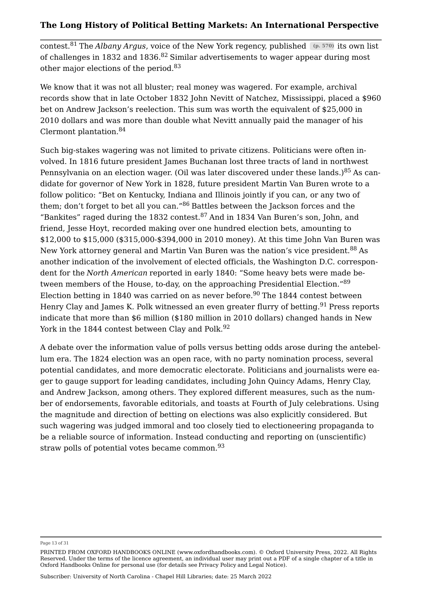<span id="page-12-1"></span><span id="page-12-0"></span>contest.<sup>[81](#page-26-2)</sup> The *Albany Argus*, voice of the New York regency, published  $(p. 570)$  its own list of challenges in 1832 and 1836.<sup>[82](#page-26-3)</sup> Similar advertisements to wager appear during most other major elections of the period.<sup>[83](#page-26-4)</sup>

<span id="page-12-2"></span>We know that it was not all bluster; real money was wagered. For example, archival records show that in late October 1832 John Nevitt of Natchez, Mississippi, placed a \$960 bet on Andrew Jackson's reelection. This sum was worth the equivalent of \$25,000 in 2010 dollars and was more than double what Nevitt annually paid the manager of his Clermont plantation.[84](#page-26-5)

<span id="page-12-6"></span><span id="page-12-5"></span><span id="page-12-4"></span><span id="page-12-3"></span>Such big-stakes wagering was not limited to private citizens. Politicians were often involved. In 1816 future president James Buchanan lost three tracts of land in northwest Pennsylvania on an election wager. (Oil was later discovered under these lands.)<sup>[85](#page-26-6)</sup> As candidate for governor of New York in 1828, future president Martin Van Buren wrote to a follow politico: "Bet on Kentucky, Indiana and Illinois jointly if you can, or any two of them; don't forget to bet all you can."[86](#page-26-7) Battles between the Jackson forces and the "Bankites" raged during the 1832 contest. $87$  And in 1834 Van Buren's son, John, and friend, Jesse Hoyt, recorded making over one hundred election bets, amounting to \$12,000 to \$15,000 (\$315,000-\$394,000 in 2010 money). At this time John Van Buren was New York attorney general and Martin Van Buren was the nation's vice president.<sup>[88](#page-27-0)</sup> As another indication of the involvement of elected officials, the Washington D.C. correspondent for the *North American* reported in early 1840: "Some heavy bets were made be-tween members of the House, to-day, on the approaching Presidential Election."<sup>[89](#page-27-1)</sup> Election betting in 1840 was carried on as never before.<sup>[90](#page-27-2)</sup> The 1844 contest between Henry Clay and James K. Polk witnessed an even greater flurry of betting.<sup>[91](#page-27-3)</sup> Press reports indicate that more than \$6 million (\$180 million in 2010 dollars) changed hands in New York in the 1844 contest between Clay and Polk.<sup>[92](#page-27-4)</sup>

<span id="page-12-11"></span><span id="page-12-10"></span><span id="page-12-9"></span><span id="page-12-8"></span><span id="page-12-7"></span>A debate over the information value of polls versus betting odds arose during the antebellum era. The 1824 election was an open race, with no party nomination process, several potential candidates, and more democratic electorate. Politicians and journalists were eager to gauge support for leading candidates, including John Quincy Adams, Henry Clay, and Andrew Jackson, among others. They explored different measures, such as the number of endorsements, favorable editorials, and toasts at Fourth of July celebrations. Using the magnitude and direction of betting on elections was also explicitly considered. But such wagering was judged immoral and too closely tied to electioneering propaganda to be a reliable source of information. Instead conducting and reporting on (unscientific) straw polls of potential votes became common.  $93$ 

<span id="page-12-12"></span>Page 13 of 31

PRINTED FROM OXFORD HANDBOOKS ONLINE (www.oxfordhandbooks.com). © Oxford University Press, 2022. All Rights Reserved. Under the terms of the licence agreement, an individual user may print out a PDF of a single chapter of a title in Oxford Handbooks Online for personal use (for details see [Privacy Policy](https://global.oup.com/privacy) and [Legal Notice\)](https://www.oxfordhandbooks.com/page/legal-notice).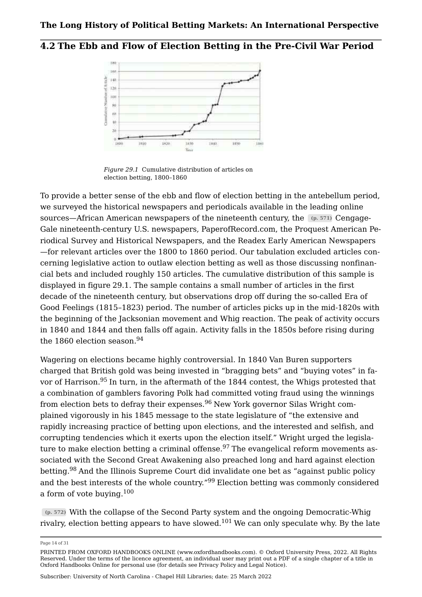## 4.2 The Ebb and Flow of Election Betting in the Pre-Civil War Period

<span id="page-13-0"></span>

*Figure 29.1* Cumulative distribution of articles on election betting, 1800–1860

To provide a better sense of the ebb and flow of election betting in the antebellum period, we surveyed the historical newspapers and periodicals available in the leading online sources—African American newspapers of the nineteenth century, the  $(p. 571)$  Cengage-Gale nineteenth-century U.S. newspapers, PaperofRecord.com, the Proquest American Periodical Survey and Historical Newspapers, and the Readex Early American Newspapers —for relevant articles over the 1800 to 1860 period. Our tabulation excluded articles concerning legislative action to outlaw election betting as well as those discussing nonfinancial bets and included roughly 150 articles. The cumulative distribution of this sample is displayed in figure [29.1](#page-13-0). The sample contains a small number of articles in the first decade of the nineteenth century, but observations drop off during the so-called Era of Good Feelings (1815–1823) period. The number of articles picks up in the mid-1820s with the beginning of the Jacksonian movement and Whig reaction. The peak of activity occurs in 1840 and 1844 and then falls off again. Activity falls in the 1850s before rising during the 1860 election season.<sup>[94](#page-27-6)</sup>

<span id="page-13-3"></span><span id="page-13-2"></span><span id="page-13-1"></span>Wagering on elections became highly controversial. In 1840 Van Buren supporters charged that British gold was being invested in "bragging bets" and "buying votes" in favor of Harrison.[95](#page-27-7) In turn, in the aftermath of the 1844 contest, the Whigs protested that a combination of gamblers favoring Polk had committed voting fraud using the winnings from election bets to defray their expenses.<sup>[96](#page-27-8)</sup> New York governor Silas Wright complained vigorously in his 1845 message to the state legislature of "the extensive and rapidly increasing practice of betting upon elections, and the interested and selfish, and corrupting tendencies which it exerts upon the election itself." Wright urged the legislature to make election betting a criminal offense. $97$  The evangelical reform movements associated with the Second Great Awakening also preached long and hard against election betting.[98](#page-28-0) And the Illinois Supreme Court did invalidate one bet as "against public policy and the best interests of the whole country."<sup>[99](#page-28-1)</sup> Election betting was commonly considered a form of vote buying.[100](#page-28-2)

<span id="page-13-8"></span><span id="page-13-7"></span><span id="page-13-6"></span><span id="page-13-5"></span><span id="page-13-4"></span>(p. 572) With the collapse of the Second Party system and the ongoing Democratic-Whig rivalry, election betting appears to have slowed.<sup>[101](#page-28-3)</sup> We can only speculate why. By the late

Page 14 of 31

PRINTED FROM OXFORD HANDBOOKS ONLINE (www.oxfordhandbooks.com). © Oxford University Press, 2022. All Rights Reserved. Under the terms of the licence agreement, an individual user may print out a PDF of a single chapter of a title in Oxford Handbooks Online for personal use (for details see [Privacy Policy](https://global.oup.com/privacy) and [Legal Notice\)](https://www.oxfordhandbooks.com/page/legal-notice).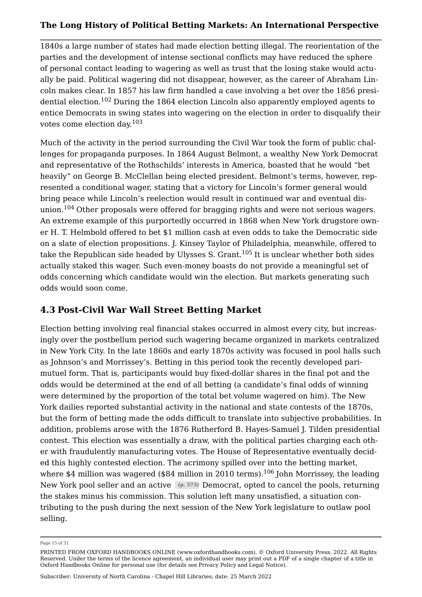1840s a large number of states had made election betting illegal. The reorientation of the parties and the development of intense sectional conflicts may have reduced the sphere of personal contact leading to wagering as well as trust that the losing stake would actually be paid. Political wagering did not disappear, however, as the career of Abraham Lincoln makes clear. In 1857 his law firm handled a case involving a bet over the 1856 presidential election.[102](#page-28-4) During the 1864 election Lincoln also apparently employed agents to entice Democrats in swing states into wagering on the election in order to disqualify their votes come election day.[103](#page-28-5)

<span id="page-14-2"></span><span id="page-14-1"></span><span id="page-14-0"></span>Much of the activity in the period surrounding the Civil War took the form of public challenges for propaganda purposes. In 1864 August Belmont, a wealthy New York Democrat and representative of the Rothschilds' interests in America, boasted that he would "bet heavily" on George B. McClellan being elected president. Belmont's terms, however, represented a conditional wager, stating that a victory for Lincoln's former general would bring peace while Lincoln's reelection would result in continued war and eventual dis-union.<sup>[104](#page-28-6)</sup> Other proposals were offered for bragging rights and were not serious wagers. An extreme example of this purportedly occurred in 1868 when New York drugstore owner H. T. Helmbold offered to bet \$1 million cash at even odds to take the Democratic side on a slate of election propositions. J. Kinsey Taylor of Philadelphia, meanwhile, offered to take the Republican side headed by Ulysses S. Grant.<sup>[105](#page-28-7)</sup> It is unclear whether both sides actually staked this wager. Such even-money boasts do not provide a meaningful set of odds concerning which candidate would win the election. But markets generating such odds would soon come.

## <span id="page-14-3"></span>4.3 Post-Civil War Wall Street Betting Market

Election betting involving real financial stakes occurred in almost every city, but increasingly over the postbellum period such wagering became organized in markets centralized in New York City. In the late 1860s and early 1870s activity was focused in pool halls such as Johnson's and Morrissey's. Betting in this period took the recently developed parimutuel form. That is, participants would buy fixed-dollar shares in the final pot and the odds would be determined at the end of all betting (a candidate's final odds of winning were determined by the proportion of the total bet volume wagered on him). The New York dailies reported substantial activity in the national and state contests of the 1870s, but the form of betting made the odds difficult to translate into subjective probabilities. In addition, problems arose with the 1876 Rutherford B. Hayes-Samuel J. Tilden presidential contest. This election was essentially a draw, with the political parties charging each other with fraudulently manufacturing votes. The House of Representative eventually decided this highly contested election. The acrimony spilled over into the betting market, where \$4 million was wagered (\$84 million in 2010 terms).<sup>[106](#page-28-8)</sup> John Morrissey, the leading New York pool seller and an active (p. 573) Democrat, opted to cancel the pools, returning the stakes minus his commission. This solution left many unsatisfied, a situation contributing to the push during the next session of the New York legislature to outlaw pool selling.

<span id="page-14-4"></span>Page 15 of 31

PRINTED FROM OXFORD HANDBOOKS ONLINE (www.oxfordhandbooks.com). © Oxford University Press, 2022. All Rights Reserved. Under the terms of the licence agreement, an individual user may print out a PDF of a single chapter of a title in Oxford Handbooks Online for personal use (for details see [Privacy Policy](https://global.oup.com/privacy) and [Legal Notice\)](https://www.oxfordhandbooks.com/page/legal-notice).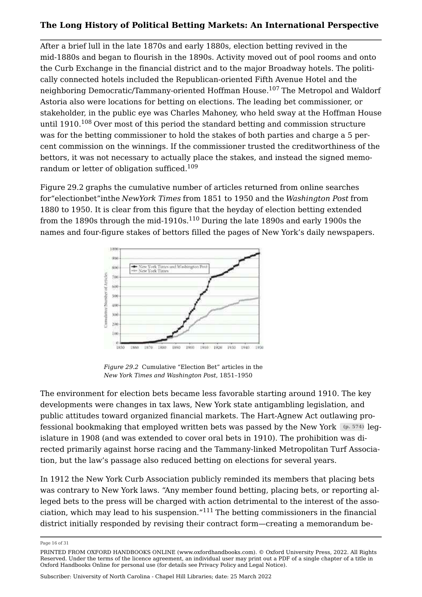After a brief lull in the late 1870s and early 1880s, election betting revived in the mid-1880s and began to flourish in the 1890s. Activity moved out of pool rooms and onto the Curb Exchange in the financial district and to the major Broadway hotels. The politically connected hotels included the Republican-oriented Fifth Avenue Hotel and the neighboring Democratic/Tammany-oriented Hoffman House.[107](#page-28-9) The Metropol and Waldorf Astoria also were locations for betting on elections. The leading bet commissioner, or stakeholder, in the public eye was Charles Mahoney, who held sway at the Hoffman House until 1910.<sup>[108](#page-28-10)</sup> Over most of this period the standard betting and commission structure was for the betting commissioner to hold the stakes of both parties and charge a 5 percent commission on the winnings. If the commissioner trusted the creditworthiness of the bettors, it was not necessary to actually place the stakes, and instead the signed memorandum or letter of obligation sufficed.[109](#page-28-11)

<span id="page-15-2"></span>Figure [29.2](#page-15-0) graphs the cumulative number of articles returned from online searches for"electionbet"inthe *NewYork Times* from 1851 to 1950 and the *Washington Post* from 1880 to 1950. It is clear from this figure that the heyday of election betting extended from the 1890s through the mid-1910s.<sup>[110](#page-28-12)</sup> During the late 1890s and early 1900s the names and four-figure stakes of bettors filled the pages of New York's daily newspapers.

<span id="page-15-4"></span><span id="page-15-3"></span><span id="page-15-1"></span><span id="page-15-0"></span>

*Figure 29.2* Cumulative "Election Bet" articles in the *New York Times and Washington Post*, 1851–1950

The environment for election bets became less favorable starting around 1910. The key developments were changes in tax laws, New York state antigambling legislation, and public attitudes toward organized financial markets. The Hart-Agnew Act outlawing professional bookmaking that employed written bets was passed by the New York (p. 574) legislature in 1908 (and was extended to cover oral bets in 1910). The prohibition was directed primarily against horse racing and the Tammany-linked Metropolitan Turf Association, but the law's passage also reduced betting on elections for several years.

In 1912 the New York Curb Association publicly reminded its members that placing bets was contrary to New York laws. "Any member found betting, placing bets, or reporting alleged bets to the press will be charged with action detrimental to the interest of the association, which may lead to his suspension."[111](#page-29-0) The betting commissioners in the financial district initially responded by revising their contract form—creating a memorandum be

<span id="page-15-5"></span>Page 16 of 31

PRINTED FROM OXFORD HANDBOOKS ONLINE (www.oxfordhandbooks.com). © Oxford University Press, 2022. All Rights Reserved. Under the terms of the licence agreement, an individual user may print out a PDF of a single chapter of a title in Oxford Handbooks Online for personal use (for details see [Privacy Policy](https://global.oup.com/privacy) and [Legal Notice\)](https://www.oxfordhandbooks.com/page/legal-notice).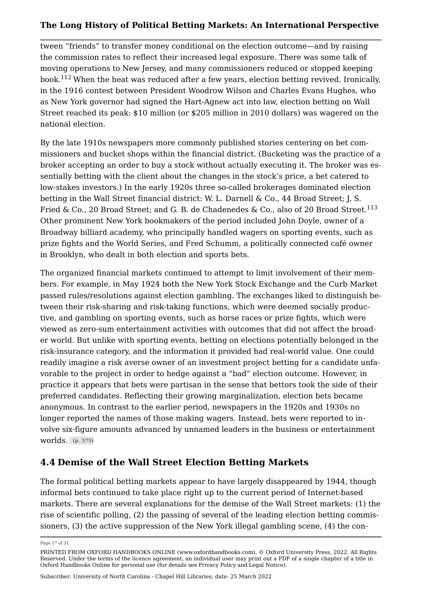<span id="page-16-0"></span>tween "friends" to transfer money conditional on the election outcome—and by raising the commission rates to reflect their increased legal exposure. There was some talk of moving operations to New Jersey, and many commissioners reduced or stopped keeping book.[112](#page-29-1) When the heat was reduced after a few years, election betting revived. Ironically, in the 1916 contest between President Woodrow Wilson and Charles Evans Hughes, who as New York governor had signed the Hart-Agnew act into law, election betting on Wall Street reached its peak: \$10 million (or \$205 million in 2010 dollars) was wagered on the national election.

By the late 1910s newspapers more commonly published stories centering on bet commissioners and bucket shops within the financial district. (Bucketing was the practice of a broker accepting an order to buy a stock without actually executing it. The broker was essentially betting with the client about the changes in the stock's price, a bet catered to low-stakes investors.) In the early 1920s three so-called brokerages dominated election betting in the Wall Street financial district: W. L. Darnell & Co., 44 Broad Street; J. S. Fried & Co., 20 Broad Street; and G. B. de Chadenedes & Co., also of 20 Broad Street.<sup>[113](#page-29-2)</sup> Other prominent New York bookmakers of the period included John Doyle, owner of a Broadway billiard academy, who principally handled wagers on sporting events, such as prize fights and the World Series, and Fred Schumm, a politically connected café owner in Brooklyn, who dealt in both election and sports bets.

<span id="page-16-1"></span>The organized financial markets continued to attempt to limit involvement of their members. For example, in May 1924 both the New York Stock Exchange and the Curb Market passed rules/resolutions against election gambling. The exchanges liked to distinguish between their risk-sharing and risk-taking functions, which were deemed socially productive, and gambling on sporting events, such as horse races or prize fights, which were viewed as zero-sum entertainment activities with outcomes that did not affect the broader world. But unlike with sporting events, betting on elections potentially belonged in the risk-insurance category, and the information it provided had real-world value. One could readily imagine a risk averse owner of an investment project betting for a candidate unfavorable to the project in order to hedge against a "bad" election outcome. However, in practice it appears that bets were partisan in the sense that bettors took the side of their preferred candidates. Reflecting their growing marginalization, election bets became anonymous. In contrast to the earlier period, newspapers in the 1920s and 1930s no longer reported the names of those making wagers. Instead, bets were reported to involve six-figure amounts advanced by unnamed leaders in the business or entertainment worlds. (p. 575)

## 4.4 Demise of the Wall Street Election Betting Markets

The formal political betting markets appear to have largely disappeared by 1944, though informal bets continued to take place right up to the current period of Internet-based markets. There are several explanations for the demise of the Wall Street markets: (1) the rise of scientific polling, (2) the passing of several of the leading election betting commissioners, (3) the active suppression of the New York illegal gambling scene, (4) the con

Page 17 of 31

PRINTED FROM OXFORD HANDBOOKS ONLINE (www.oxfordhandbooks.com). © Oxford University Press, 2022. All Rights Reserved. Under the terms of the licence agreement, an individual user may print out a PDF of a single chapter of a title in Oxford Handbooks Online for personal use (for details see [Privacy Policy](https://global.oup.com/privacy) and [Legal Notice\)](https://www.oxfordhandbooks.com/page/legal-notice).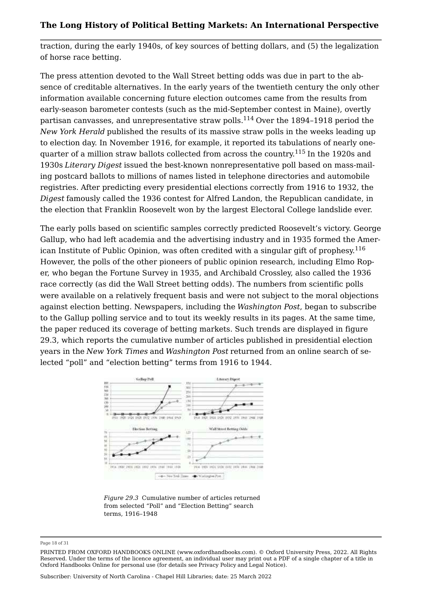traction, during the early 1940s, of key sources of betting dollars, and (5) the legalization of horse race betting.

<span id="page-17-1"></span>The press attention devoted to the Wall Street betting odds was due in part to the absence of creditable alternatives. In the early years of the twentieth century the only other information available concerning future election outcomes came from the results from early-season barometer contests (such as the mid-September contest in Maine), overtly partisan canvasses, and unrepresentative straw polls.<sup>[114](#page-29-3)</sup> Over the 1894–1918 period the *New York Herald* published the results of its massive straw polls in the weeks leading up to election day. In November 1916, for example, it reported its tabulations of nearly onequarter of a million straw ballots collected from across the country.[115](#page-29-4) In the 1920s and 1930s *Literary Digest* issued the best-known nonrepresentative poll based on mass-mailing postcard ballots to millions of names listed in telephone directories and automobile registries. After predicting every presidential elections correctly from 1916 to 1932, the *Digest* famously called the 1936 contest for Alfred Landon, the Republican candidate, in the election that Franklin Roosevelt won by the largest Electoral College landslide ever.

<span id="page-17-2"></span>The early polls based on scientific samples correctly predicted Roosevelt's victory. George Gallup, who had left academia and the advertising industry and in 1935 formed the Amer-ican Institute of Public Opinion, was often credited with a singular gift of prophesy.<sup>[116](#page-29-5)</sup> However, the polls of the other pioneers of public opinion research, including Elmo Roper, who began the Fortune Survey in 1935, and Archibald Crossley, also called the 1936 race correctly (as did the Wall Street betting odds). The numbers from scientific polls were available on a relatively frequent basis and were not subject to the moral objections against election betting. Newspapers, including the *Washington Post*, began to subscribe to the Gallup polling service and to tout its weekly results in its pages. At the same time, the paper reduced its coverage of betting markets. Such trends are displayed in figure [29.3](#page-17-0), which reports the cumulative number of articles published in presidential election years in the *New York Times* and *Washington Post* returned from an online search of selected "poll" and "election betting" terms from 1916 to 1944.

<span id="page-17-3"></span><span id="page-17-0"></span>

*Figure 29.3* Cumulative number of articles returned from selected "Poll" and "Election Betting" search terms, 1916–1948

Page 18 of 31

PRINTED FROM OXFORD HANDBOOKS ONLINE (www.oxfordhandbooks.com). © Oxford University Press, 2022. All Rights Reserved. Under the terms of the licence agreement, an individual user may print out a PDF of a single chapter of a title in Oxford Handbooks Online for personal use (for details see [Privacy Policy](https://global.oup.com/privacy) and [Legal Notice\)](https://www.oxfordhandbooks.com/page/legal-notice).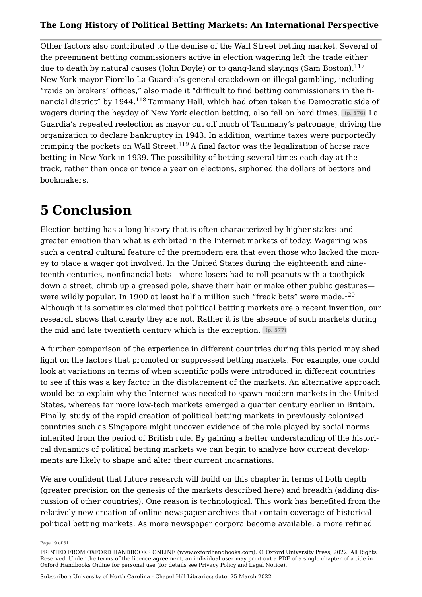<span id="page-18-1"></span><span id="page-18-0"></span>Other factors also contributed to the demise of the Wall Street betting market. Several of the preeminent betting commissioners active in election wagering left the trade either due to death by natural causes (John Doyle) or to gang-land slayings (Sam Boston).<sup>[117](#page-29-6)</sup> New York mayor Fiorello La Guardia's general crackdown on illegal gambling, including "raids on brokers' offices," also made it "difficult to find betting commissioners in the fi-nancial district" by 1944.<sup>[118](#page-29-7)</sup> Tammany Hall, which had often taken the Democratic side of wagers during the heyday of New York election betting, also fell on hard times. (p. 576) La Guardia's repeated reelection as mayor cut off much of Tammany's patronage, driving the organization to declare bankruptcy in 1943. In addition, wartime taxes were purportedly crimping the pockets on Wall Street.<sup>[119](#page-29-8)</sup> A final factor was the legalization of horse race betting in New York in 1939. The possibility of betting several times each day at the track, rather than once or twice a year on elections, siphoned the dollars of bettors and bookmakers.

## <span id="page-18-2"></span>5 Conclusion

Election betting has a long history that is often characterized by higher stakes and greater emotion than what is exhibited in the Internet markets of today. Wagering was such a central cultural feature of the premodern era that even those who lacked the money to place a wager got involved. In the United States during the eighteenth and nineteenth centuries, nonfinancial bets—where losers had to roll peanuts with a toothpick down a street, climb up a greased pole, shave their hair or make other public gestures— were wildly popular. In 1900 at least half a million such "freak bets" were made.<sup>[120](#page-29-9)</sup> Although it is sometimes claimed that political betting markets are a recent invention, our research shows that clearly they are not. Rather it is the absence of such markets during the mid and late twentieth century which is the exception. (p. 577)

<span id="page-18-3"></span>A further comparison of the experience in different countries during this period may shed light on the factors that promoted or suppressed betting markets. For example, one could look at variations in terms of when scientific polls were introduced in different countries to see if this was a key factor in the displacement of the markets. An alternative approach would be to explain why the Internet was needed to spawn modern markets in the United States, whereas far more low-tech markets emerged a quarter century earlier in Britain. Finally, study of the rapid creation of political betting markets in previously colonized countries such as Singapore might uncover evidence of the role played by social norms inherited from the period of British rule. By gaining a better understanding of the historical dynamics of political betting markets we can begin to analyze how current developments are likely to shape and alter their current incarnations.

We are confident that future research will build on this chapter in terms of both depth (greater precision on the genesis of the markets described here) and breadth (adding discussion of other countries). One reason is technological. This work has benefited from the relatively new creation of online newspaper archives that contain coverage of historical political betting markets. As more newspaper corpora become available, a more refined

Page 19 of 31

PRINTED FROM OXFORD HANDBOOKS ONLINE (www.oxfordhandbooks.com). © Oxford University Press, 2022. All Rights Reserved. Under the terms of the licence agreement, an individual user may print out a PDF of a single chapter of a title in Oxford Handbooks Online for personal use (for details see [Privacy Policy](https://global.oup.com/privacy) and [Legal Notice\)](https://www.oxfordhandbooks.com/page/legal-notice).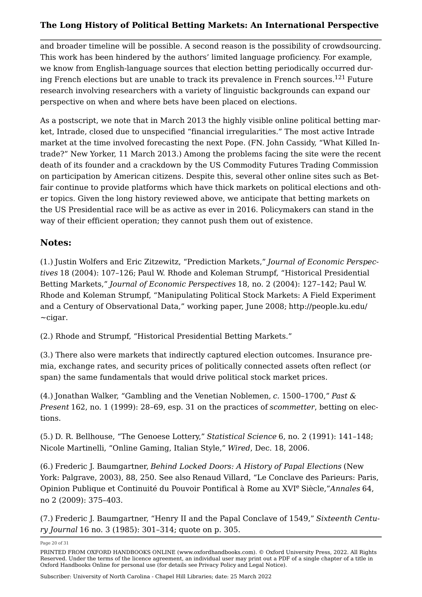<span id="page-19-7"></span>and broader timeline will be possible. A second reason is the possibility of crowdsourcing. This work has been hindered by the authors' limited language proficiency. For example, we know from English-language sources that election betting periodically occurred during French elections but are unable to track its prevalence in French sources.[121](#page-30-0) Future research involving researchers with a variety of linguistic backgrounds can expand our perspective on when and where bets have been placed on elections.

As a postscript, we note that in March 2013 the highly visible online political betting market, Intrade, closed due to unspecified "financial irregularities." The most active Intrade market at the time involved forecasting the next Pope. (FN. John Cassidy, "What Killed Intrade?" New Yorker, 11 March 2013.) Among the problems facing the site were the recent death of its founder and a crackdown by the US Commodity Futures Trading Commission on participation by American citizens. Despite this, several other online sites such as Betfair continue to provide platforms which have thick markets on political elections and other topics. Given the long history reviewed above, we anticipate that betting markets on the US Presidential race will be as active as ever in 2016. Policymakers can stand in the way of their efficient operation; they cannot push them out of existence.

## Notes:

<span id="page-19-0"></span>([1.\)](#page-0-0) Justin Wolfers and Eric Zitzewitz, "Prediction Markets," Journal of Economic Perspec*tives* 18 (2004): 107–126; Paul W. Rhode and Koleman Strumpf, "Historical Presidential Betting Markets," *Journal of Economic Perspectives* 18, no. 2 (2004): 127–142; Paul W. Rhode and Koleman Strumpf, "Manipulating Political Stock Markets: A Field Experiment and a Century of Observational Data," working paper, June 2008; [http://people.ku.edu/](http://people.ku.edu/~cigar)  $\sim$ cigar.

<span id="page-19-1"></span>([2.](#page-0-1)) Rhode and Strumpf, "Historical Presidential Betting Markets."

<span id="page-19-2"></span>([3.](#page-1-0)) There also were markets that indirectly captured election outcomes. Insurance premia, exchange rates, and security prices of politically connected assets often reflect (or span) the same fundamentals that would drive political stock market prices.

<span id="page-19-3"></span>([4.\)](#page-1-1) Jonathan Walker, "Gambling and the Venetian Noblemen, *c*. 1500–1700," *Past & Present* 162, no. 1 (1999): 28–69, esp. 31 on the practices of *scommetter*, betting on elections.

<span id="page-19-4"></span>([5.\)](#page-1-2) D. R. Bellhouse, "The Genoese Lottery," *Statistical Science* 6, no. 2 (1991): 141–148; Nicole Martinelli, "Online Gaming, Italian Style," *Wired*, Dec. 18, 2006.

<span id="page-19-5"></span>([6.\)](#page-2-0) Frederic J. Baumgartner, *Behind Locked Doors: A History of Papal Elections* (New York: Palgrave, 2003), 88, 250. See also Renaud Villard, "Le Conclave des Parieurs: Paris, Opinion Publique et Continuité du Pouvoir Pontifical à Rome au XVI<sup>e</sup> Siècle,"Annales 64, no 2 (2009): 375–403 .

<span id="page-19-6"></span>([7.\)](#page-2-1) Frederic J. Baumgartner, "Henry II and the Papal Conclave of 1549," Sixteenth Centu*ry Journal* 16 no. 3 (1985): 301–314; quote on p. 305.

Page 20 of 31

PRINTED FROM OXFORD HANDBOOKS ONLINE (www.oxfordhandbooks.com). © Oxford University Press, 2022. All Rights Reserved. Under the terms of the licence agreement, an individual user may print out a PDF of a single chapter of a title in Oxford Handbooks Online for personal use (for details see [Privacy Policy](https://global.oup.com/privacy) and [Legal Notice\)](https://www.oxfordhandbooks.com/page/legal-notice).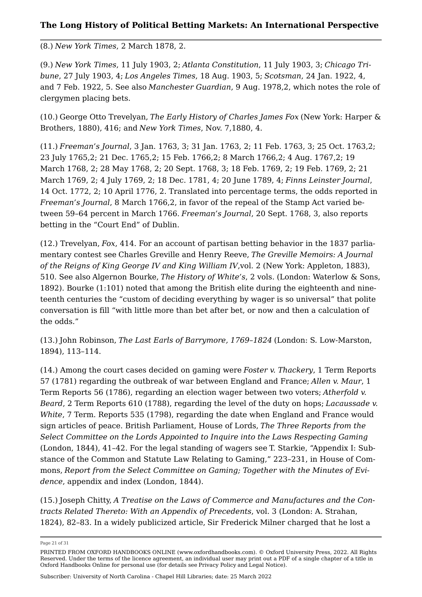<span id="page-20-0"></span>([8.\)](#page-2-2) *New York Times*, 2 March 1878, 2.

<span id="page-20-1"></span>([9.\)](#page-2-3) *New York Times*, 11 July 1903, 2; *Atlanta Constitution*, 11 July 1903, 3; Chicago Tri*bune*, 27 July 1903, 4; *Los Angeles Times*, 18 Aug. 1903, 5; *Scotsman*, 24 Jan. 1922, 4, and 7 Feb. 1922, 5. See also *Manchester Guardian*, 9 Aug. 1978,2, which notes the role of clergymen placing bets.

<span id="page-20-2"></span>([10.](#page-2-4)) George Otto Trevelyan, *The Early History of Charles James Fox* (New York: Harper & Brothers, 1880), 416; and *New York Times*, Nov. 7,1880, 4.

<span id="page-20-3"></span>([11.](#page-2-5)) Freeman's Journal, 3 Jan. 1763, 3; 31 Jan. 1763, 2; 11 Feb. 1763, 3; 25 Oct. 1763,2; 23 July 1765,2; 21 Dec. 1765,2; 15 Feb. 1766,2; 8 March 1766,2; 4 Aug. 1767,2; 19 March 1768, 2; 28 May 1768, 2; 20 Sept. 1768, 3; 18 Feb. 1769, 2; 19 Feb. 1769, 2; 21 March 1769, 2; 4 July 1769, 2; 18 Dec. 1781, 4; 20 June 1789, 4; *Finns Leinster Journal*, 14 Oct. 1772, 2; 10 April 1776, 2. Translated into percentage terms, the odds reported in Freeman's Journal, 8 March 1766,2, in favor of the repeal of the Stamp Act varied between 59–64 percent in March 1766. Freeman's Journal, 20 Sept. 1768, 3, also reports betting in the "Court End" of Dublin.

<span id="page-20-4"></span>([12.](#page-3-0)) Trevelyan, *Fox*, 414. For an account of partisan betting behavior in the 1837 parliamentary contest see Charles Greville and Henry Reeve, *The Greville Memoirs: A Journal of the Reigns of King George IV and King William IV*,vol. 2 (New York: Appleton, 1883), 510. See also Algernon Bourke, The History of White's, 2 vols. (London: Waterlow & Sons, 1892). Bourke (1:101) noted that among the British elite during the eighteenth and nineteenth centuries the "custom of deciding everything by wager is so universal" that polite conversation is fill "with little more than bet after bet, or now and then a calculation of the odds."

<span id="page-20-5"></span>([13.](#page-3-1)) John Robinson, The Last Earls of Barrymore, 1769–1824 (London: S. Low-Marston, 1894), 113–114.

<span id="page-20-6"></span>([14.](#page-3-2)) Among the court cases decided on gaming were *Foster v. Thackery*, 1 Term Reports 57 (1781) regarding the outbreak of war between England and France; *Allen v. Maur*, 1 Term Reports 56 (1786), regarding an election wager between two voters; *Atherfold v. Beard*, 2 Term Reports 610 (1788), regarding the level of the duty on hops; *Lacaussade v. White*, 7 Term. Reports 535 (1798), regarding the date when England and France would sign articles of peace. British Parliament, House of Lords, *The Three Reports from the Select Committee on the Lords Appointed to Inquire into the Laws Respecting Gaming* (London, 1844), 41–42. For the legal standing of wagers see T. Starkie, "Appendix I: Substance of the Common and Statute Law Relating to Gaming," 223–231, in House of Commons, Report from the Select Committee on Gaming; Together with the Minutes of Evi*dence*, appendix and index (London, 1844).

<span id="page-20-7"></span>([15.](#page-3-3)) Joseph Chitty, A Treatise on the Laws of Commerce and Manufactures and the Con*tracts Related Thereto: With an Appendix of Precedents*, vol. 3 (London: A. Strahan, 1824), 82–83. In a widely publicized article, Sir Frederick Milner charged that he lost a

Page 21 of 31

PRINTED FROM OXFORD HANDBOOKS ONLINE (www.oxfordhandbooks.com). © Oxford University Press, 2022. All Rights Reserved. Under the terms of the licence agreement, an individual user may print out a PDF of a single chapter of a title in Oxford Handbooks Online for personal use (for details see [Privacy Policy](https://global.oup.com/privacy) and [Legal Notice\)](https://www.oxfordhandbooks.com/page/legal-notice).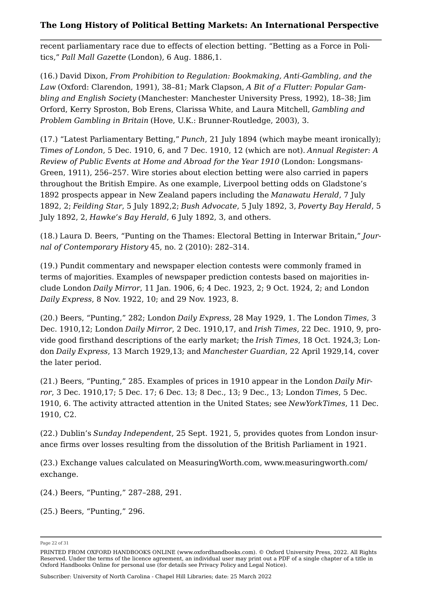recent parliamentary race due to effects of election betting. "Betting as a Force in Politics," *Pall Mall Gazette* (London), 6 Aug. 1886,1.

<span id="page-21-0"></span>([16.](#page-3-4)) David Dixon, *From Prohibition to Regulation: Bookmaking, Anti-Gambling, and the Law* (Oxford: Clarendon, 1991), 38–81; Mark Clapson, A Bit of a Flutter: Popular Gam*bling and English Society* (Manchester: Manchester University Press, 1992), 18–38; Jim Orford, Kerry Sproston, Bob Erens, Clarissa White, and Laura Mitchell, *Gambling and Problem Gambling in Britain* (Hove, U.K.: Brunner-Routledge, 2003), 3.

<span id="page-21-1"></span>([17.](#page-3-5)) "Latest Parliamentary Betting," *Punch*, 21 July 1894 (which maybe meant ironically); *Times of London*, 5 Dec. 1910, 6, and 7 Dec. 1910, 12 (which are not). *Annual Register: A Review of Public Events at Home and Abroad for the Year 1910* (London: Longsmans-Green, 1911), 256–257. Wire stories about election betting were also carried in papers throughout the British Empire. As one example, Liverpool betting odds on Gladstone's 1892 prospects appear in New Zealand papers including the *Manawatu Herald*, 7 July 1892, 2; *Feilding Star*, 5 July 1892,2; *Bush Advocate*, 5 July 1892, 3, *Poverty Bay Herald*, 5 July 1892, 2, Hawke's Bay Herald, 6 July 1892, 3, and others.

<span id="page-21-2"></span>([18.](#page-3-6)) Laura D. Beers, "Punting on the Thames: Electoral Betting in Interwar Britain," Jour*nal of Contemporary History* 45, no. 2 (2010): 282–314.

<span id="page-21-3"></span>([19.](#page-3-7)) Pundit commentary and newspaper election contests were commonly framed in terms of majorities. Examples of newspaper prediction contests based on majorities include London *Daily Mirror*, 11 Jan. 1906, 6; 4 Dec. 1923, 2; 9 Oct. 1924, 2; and London *Daily Express*, 8 Nov. 1922, 10; and 29 Nov. 1923, 8.

<span id="page-21-4"></span>([20.](#page-3-8)) Beers, "Punting," 282; London *Daily Express*, 28 May 1929, 1. The London *Times*, 3 Dec. 1910,12; London *Daily Mirror*, 2 Dec. 1910,17, and *Irish Times*, 22 Dec. 1910, 9, provide good firsthand descriptions of the early market; the *Irish Times*, 18 Oct. 1924,3; London *Daily Express*, 13 March 1929,13; and *Manchester Guardian*, 22 April 1929,14, cover the later period.

<span id="page-21-5"></span>([21.](#page-3-9)) Beers, "Punting," 285. Examples of prices in 1910 appear in the London Daily Mir*ror*, 3 Dec. 1910,17; 5 Dec. 17; 6 Dec. 13; 8 Dec., 13; 9 Dec., 13; London *Times*, 5 Dec. 1910, 6. The activity attracted attention in the United States; see *NewYorkTimes*, 11 Dec. 1910, C2.

<span id="page-21-6"></span>([22.](#page-4-0)) Dublin's *Sunday Independent*, 25 Sept. 1921, 5, provides quotes from London insurance firms over losses resulting from the dissolution of the British Parliament in 1921.

<span id="page-21-7"></span>([23.](#page-4-1)) Exchange values calculated on [MeasuringWorth.com,](htpp://www.MeasuringWorth.com) [www.measuringworth.com/](htpp://www.measuringworth.com/) exchange.

<span id="page-21-8"></span>([24.](#page-4-2)) Beers, "Punting," 287–288, 291.

<span id="page-21-9"></span>([25.](#page-7-0)) Beers, "Punting," 296.

Page 22 of 31

PRINTED FROM OXFORD HANDBOOKS ONLINE (www.oxfordhandbooks.com). © Oxford University Press, 2022. All Rights Reserved. Under the terms of the licence agreement, an individual user may print out a PDF of a single chapter of a title in Oxford Handbooks Online for personal use (for details see [Privacy Policy](https://global.oup.com/privacy) and [Legal Notice\)](https://www.oxfordhandbooks.com/page/legal-notice).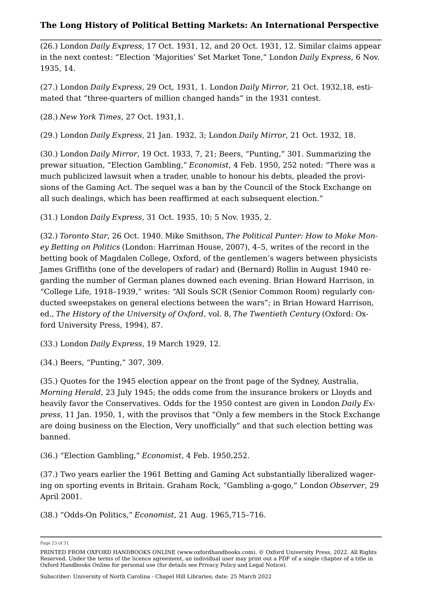<span id="page-22-0"></span>([26.](#page-7-1)) London *Daily Express*, 17 Oct. 1931, 12, and 20 Oct. 1931, 12. Similar claims appear in the next contest: "Election 'Majorities' Set Market Tone," London *Daily Express*, 6 Nov. 1935, 14.

<span id="page-22-1"></span>([27.](#page-7-2)) London *Daily Express*, 29 Oct, 1931, 1. London *Daily Mirror*, 21 Oct. 1932,18, estimated that "three-quarters of million changed hands" in the 1931 contest.

<span id="page-22-2"></span>([28.](#page-7-3)) *New York Times*, 27 Oct. 1931,1.

<span id="page-22-3"></span>([29.](#page-7-4)) London *Daily Express*, 21 Jan. 1932, 3; London *Daily Mirror*, 21 Oct. 1932, 18.

<span id="page-22-4"></span>([30.](#page-7-5)) London *Daily Mirror*, 19 Oct. 1933, 7, 21; Beers, "Punting," 301. Summarizing the prewar situation, "Election Gambling," *Economist*, 4 Feb. 1950, 252 noted: "There was a much publicized lawsuit when a trader, unable to honour his debts, pleaded the provisions of the Gaming Act. The sequel was a ban by the Council of the Stock Exchange on all such dealings, which has been reaffirmed at each subsequent election."

<span id="page-22-5"></span>([31.](#page-7-6)) London *Daily Express*, 31 Oct. 1935, 10; 5 Nov. 1935, 2.

<span id="page-22-6"></span>([32.](#page-7-7)) *Toronto Star*, 26 Oct. 1940. Mike Smithson, The Political Punter: How to Make Mon*ey Betting on Politics* (London: Harriman House, 2007), 4–5, writes of the record in the betting book of Magdalen College, Oxford, of the gentlemen's wagers between physicists James Griffiths (one of the developers of radar) and (Bernard) Rollin in August 1940 regarding the number of German planes downed each evening. Brian Howard Harrison, in "College Life, 1918–1939," writes: "All Souls SCR (Senior Common Room) regularly conducted sweepstakes on general elections between the wars"; in Brian Howard Harrison, ed., *The History of the University of Oxford*, vol. 8, *The Twentieth Century* (Oxford: Oxford University Press, 1994), 87.

<span id="page-22-7"></span>([33.](#page-8-0)) London *Daily Express*, 19 March 1929, 12.

<span id="page-22-8"></span>([34.](#page-8-1)) Beers, "Punting," 307, 309.

<span id="page-22-9"></span>([35.](#page-8-2)) Quotes for the 1945 election appear on the front page of the Sydney, Australia, *Morning Herald*, 23 July 1945; the odds come from the insurance brokers or Lloyds and heavily favor the Conservatives. Odds for the 1950 contest are given in London Daily Ex*press*, 11 Jan. 1950, 1, with the provisos that "Only a few members in the Stock Exchange are doing business on the Election, Very unofficially" and that such election betting was banned.

<span id="page-22-10"></span>([36.](#page-8-3)) "Election Gambling," *Economist*, 4 Feb. 1950,252.

<span id="page-22-11"></span>([37.](#page-8-4)) Two years earlier the 1961 Betting and Gaming Act substantially liberalized wagering on sporting events in Britain. Graham Rock, "Gambling a-gogo," London *Observer*, 29 April 2001.

<span id="page-22-12"></span>([38.](#page-8-5)) "Odds-On Politics," *Economist*, 21 Aug. 1965,715–716.

Page 23 of 31

PRINTED FROM OXFORD HANDBOOKS ONLINE (www.oxfordhandbooks.com). © Oxford University Press, 2022. All Rights Reserved. Under the terms of the licence agreement, an individual user may print out a PDF of a single chapter of a title in Oxford Handbooks Online for personal use (for details see [Privacy Policy](https://global.oup.com/privacy) and [Legal Notice\)](https://www.oxfordhandbooks.com/page/legal-notice).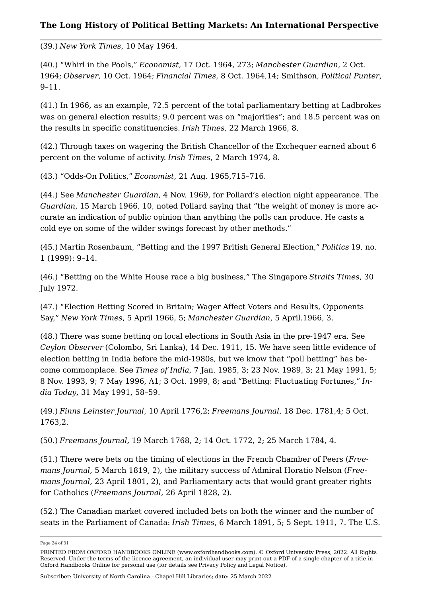<span id="page-23-0"></span>([39.](#page-8-6)) *New York Times*, 10 May 1964.

<span id="page-23-1"></span>([40.](#page-8-7)) "Whirl in the Pools," *Economist*, 17 Oct. 1964, 273; *Manchester Guardian*, 2 Oct. 1964; *Observer*, 10 Oct. 1964; *Financial Times*, 8 Oct. 1964,14; Smithson, *Political Punter*, 9–11.

<span id="page-23-2"></span>([41.](#page-9-0)) In 1966, as an example, 72.5 percent of the total parliamentary betting at Ladbrokes was on general election results; 9.0 percent was on "majorities"; and 18.5 percent was on the results in specific constituencies. *Irish Times*, 22 March 1966, 8.

<span id="page-23-3"></span>([42.](#page-9-1)) Through taxes on wagering the British Chancellor of the Exchequer earned about 6 percent on the volume of activity. *Irish Times*, 2 March 1974, 8.

<span id="page-23-4"></span>([43.](#page-9-2)) "Odds-On Politics," *Economist*, 21 Aug. 1965,715–716.

<span id="page-23-5"></span>([44.](#page-9-3)) See *Manchester Guardian*, 4 Nov. 1969, for Pollard's election night appearance. The *Guardian*, 15 March 1966, 10, noted Pollard saying that "the weight of money is more accurate an indication of public opinion than anything the polls can produce. He casts a cold eye on some of the wilder swings forecast by other methods."

<span id="page-23-6"></span>([45.](#page-9-4)) Martin Rosenbaum, "Betting and the 1997 British General Election," *Politics* 19, no. 1 (1999): 9–14.

<span id="page-23-7"></span>([46.](#page-9-5)) "Betting on the White House race a big business," The Singapore *Straits Times*, 30 July 1972.

<span id="page-23-8"></span>([47.](#page-9-6)) "Election Betting Scored in Britain; Wager Affect Voters and Results, Opponents Say," *New York Times*, 5 April 1966, 5; *Manchester Guardian*, 5 April.1966, 3.

<span id="page-23-9"></span>([48.](#page-9-7)) There was some betting on local elections in South Asia in the pre-1947 era. See *Ceylon Observer* (Colombo, Sri Lanka), 14 Dec. 1911, 15. We have seen little evidence of election betting in India before the mid-1980s, but we know that "poll betting" has become commonplace. See *Times of India*, 7 Jan. 1985, 3; 23 Nov. 1989, 3; 21 May 1991, 5; 8 Nov. 1993, 9; 7 May 1996, A1; 3 Oct. 1999, 8; and "Betting: Fluctuating Fortunes," In*dia Today*, 31 May 1991, 58–59.

<span id="page-23-10"></span>([49.](#page-9-8)) *Finns Leinster Journal*, 10 April 1776,2; *Freemans Journal*, 18 Dec. 1781,4; 5 Oct. 1763,2.

<span id="page-23-11"></span>([50.](#page-9-9)) *Freemans Journal*, 19 March 1768, 2; 14 Oct. 1772, 2; 25 March 1784, 4.

<span id="page-23-12"></span>([51.](#page-9-10)) There were bets on the timing of elections in the French Chamber of Peers (Free*mans Journal*, 5 March 1819, 2), the military success of Admiral Horatio Nelson (Free*mans Journal*, 23 April 1801, 2), and Parliamentary acts that would grant greater rights for Catholics (*Freemans Journal*, 26 April 1828, 2).

<span id="page-23-13"></span>([52.](#page-9-11)) The Canadian market covered included bets on both the winner and the number of seats in the Parliament of Canada: *Irish Times*, 6 March 1891, 5; 5 Sept. 1911, 7. The U.S.

Page 24 of 31

PRINTED FROM OXFORD HANDBOOKS ONLINE (www.oxfordhandbooks.com). © Oxford University Press, 2022. All Rights Reserved. Under the terms of the licence agreement, an individual user may print out a PDF of a single chapter of a title in Oxford Handbooks Online for personal use (for details see [Privacy Policy](https://global.oup.com/privacy) and [Legal Notice\)](https://www.oxfordhandbooks.com/page/legal-notice).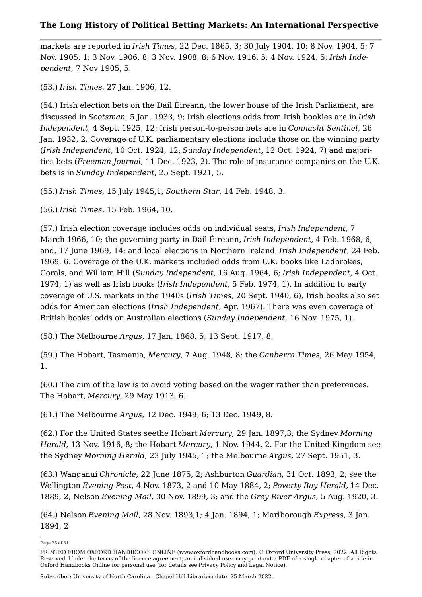markets are reported in *Irish Times*, 22 Dec. 1865, 3; 30 July 1904, 10; 8 Nov. 1904, 5; 7 Nov. 1905, 1; 3 Nov. 1906, 8; 3 Nov. 1908, 8; 6 Nov. 1916, 5; 4 Nov. 1924, 5; Irish Inde*pendent*, 7 Nov 1905, 5.

<span id="page-24-0"></span>([53.](#page-9-12)) *Irish Times*, 27 Jan. 1906, 12.

<span id="page-24-1"></span>([54.](#page-10-0)) Irish election bets on the Dáil Éireann, the lower house of the Irish Parliament, are discussed in *Scotsman*, 5 Jan. 1933, 9; Irish elections odds from Irish bookies are in *Irish Independent*, 4 Sept. 1925, 12; Irish person-to-person bets are in *Connacht Sentinel*, 26 Jan. 1932, 2. Coverage of U.K. parliamentary elections include those on the winning party (*Irish Independent*, 10 Oct. 1924, 12; *Sunday Independent*, 12 Oct. 1924, 7) and majorities bets (*Freeman Journal*, 11 Dec. 1923, 2). The role of insurance companies on the U.K. bets is in *Sunday Independent*, 25 Sept. 1921, 5.

<span id="page-24-2"></span>([55.](#page-10-1)) *Irish Times*, 15 July 1945,1; *Southern Star*, 14 Feb. 1948, 3.

<span id="page-24-3"></span>([56.](#page-10-2)) *Irish Times*, 15 Feb. 1964, 10.

<span id="page-24-4"></span>([57.](#page-10-3)) Irish election coverage includes odds on individual seats, *Irish Independent*, 7 March 1966, 10; the governing party in Dáil Éireann, *Irish Independent*, 4 Feb. 1968, 6, and, 17 June 1969, 14; and local elections in Northern Ireland, *Irish Independent*, 24 Feb. 1969, 6. Coverage of the U.K. markets included odds from U.K. books like Ladbrokes, Corals, and William Hill (*Sunday Independent*, 16 Aug. 1964, 6; *Irish Independent*, 4 Oct. 1974, 1) as well as Irish books (*Irish Independent*, 5 Feb. 1974, 1). In addition to early coverage of U.S. markets in the 1940s (*Irish Times*, 20 Sept. 1940, 6), Irish books also set odds for American elections (*Irish Independent*, Apr. 1967). There was even coverage of British books' odds on Australian elections (*Sunday Independent*, 16 Nov. 1975, 1).

<span id="page-24-5"></span>([58.](#page-10-4)) The Melbourne *Argus*, 17 Jan. 1868, 5; 13 Sept. 1917, 8.

<span id="page-24-6"></span>([59.](#page-10-5)) The Hobart, Tasmania, *Mercury*, 7 Aug. 1948, 8; the *Canberra Times*, 26 May 1954, 1.

<span id="page-24-7"></span>([60.](#page-10-6)) The aim of the law is to avoid voting based on the wager rather than preferences. The Hobart, *Mercury*, 29 May 1913, 6.

<span id="page-24-8"></span>([61.](#page-10-7)) The Melbourne *Argus*, 12 Dec. 1949, 6; 13 Dec. 1949, 8.

<span id="page-24-9"></span>([62.](#page-10-8)) For the United States seethe Hobart *Mercury*, 29 Jan. 1897,3; the Sydney *Morning Herald*, 13 Nov. 1916, 8; the Hobart *Mercury*, 1 Nov. 1944, 2. For the United Kingdom see the Sydney *Morning Herald*, 23 July 1945, 1; the Melbourne *Argus*, 27 Sept. 1951, 3.

<span id="page-24-10"></span>([63.](#page-10-9)) Wanganui *Chronicle*, 22 June 1875, 2; Ashburton *Guardian*, 31 Oct. 1893, 2; see the Wellington *Evening Post*, 4 Nov. 1873, 2 and 10 May 1884, 2; *Poverty Bay Herald*, 14 Dec. 1889, 2, Nelson *Evening Mail*, 30 Nov. 1899, 3; and the *Grey River Argus*, 5 Aug. 1920, 3.

<span id="page-24-11"></span>([64.](#page-10-10)) Nelson *Evening Mail*, 28 Nov. 1893,1; 4 Jan. 1894, 1; Marlborough *Express*, 3 Jan. 1894, 2

Page 25 of 31

PRINTED FROM OXFORD HANDBOOKS ONLINE (www.oxfordhandbooks.com). © Oxford University Press, 2022. All Rights Reserved. Under the terms of the licence agreement, an individual user may print out a PDF of a single chapter of a title in Oxford Handbooks Online for personal use (for details see [Privacy Policy](https://global.oup.com/privacy) and [Legal Notice\)](https://www.oxfordhandbooks.com/page/legal-notice).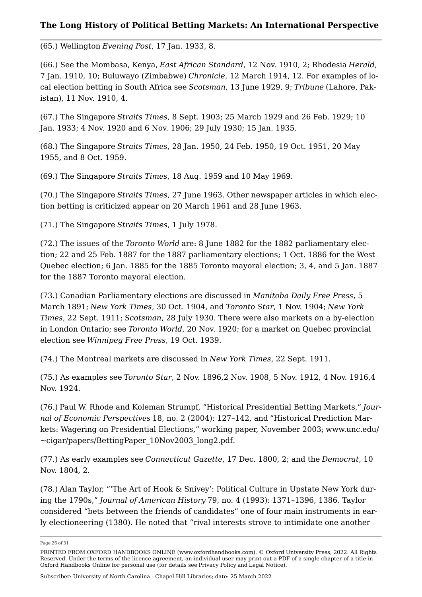<span id="page-25-0"></span>([65.](#page-10-11)) Wellington *Evening Post*, 17 Jan. 1933, 8.

<span id="page-25-1"></span>([66.](#page-10-12)) See the Mombasa, Kenya, *East African Standard*, 12 Nov. 1910, 2; Rhodesia *Herald*, 7 Jan. 1910, 10; Buluwayo (Zimbabwe) *Chronicle*, 12 March 1914, 12. For examples of local election betting in South Africa see *Scotsman*, 13 June 1929, 9; *Tribune* (Lahore, Pakistan), 11 Nov. 1910, 4.

<span id="page-25-2"></span>([67.](#page-10-13)) The Singapore *Straits Times*, 8 Sept. 1903; 25 March 1929 and 26 Feb. 1929; 10 Jan. 1933; 4 Nov. 1920 and 6 Nov. 1906; 29 July 1930; 15 Jan. 1935.

<span id="page-25-3"></span>([68.](#page-11-0)) The Singapore *Straits Times*, 28 Jan. 1950, 24 Feb. 1950, 19 Oct. 1951, 20 May 1955, and 8 Oct. 1959.

<span id="page-25-4"></span>([69.](#page-11-1)) The Singapore *Straits Times*, 18 Aug. 1959 and 10 May 1969.

<span id="page-25-5"></span>([70.](#page-11-2)) The Singapore *Straits Times*, 27 June 1963. Other newspaper articles in which election betting is criticized appear on 20 March 1961 and 28 June 1963.

<span id="page-25-6"></span>([71.](#page-11-3)) The Singapore *Straits Times*, 1 July 1978.

<span id="page-25-7"></span>([72.](#page-11-4)) The issues of the *Toronto World* are: 8 June 1882 for the 1882 parliamentary election; 22 and 25 Feb. 1887 for the 1887 parliamentary elections; 1 Oct. 1886 for the West Quebec election; 6 Jan. 1885 for the 1885 Toronto mayoral election; 3, 4, and 5 Jan. 1887 for the 1887 Toronto mayoral election.

<span id="page-25-8"></span>([73.](#page-11-5)) Canadian Parliamentary elections are discussed in *Manitoba Daily Free Press*, 5 March 1891; *New York Times*, 30 Oct. 1904, and *Toronto Star*, 1 Nov. 1904; *New York Times*, 22 Sept. 1911; *Scotsman*, 28 July 1930. There were also markets on a by-election in London Ontario; see *Toronto World*, 20 Nov. 1920; for a market on Quebec provincial election see *Winnipeg Free Press*, 19 Oct. 1939.

<span id="page-25-9"></span>([74.](#page-11-6)) The Montreal markets are discussed in *New York Times*, 22 Sept. 1911.

<span id="page-25-10"></span>([75.](#page-11-7)) As examples see *Toronto Star*, 2 Nov. 1896,2 Nov. 1908, 5 Nov. 1912, 4 Nov. 1916,4 Nov. 1924.

<span id="page-25-11"></span>([76.](#page-11-8)) Paul W. Rhode and Koleman Strumpf, "Historical Presidential Betting Markets," Jour*nal of Economic Perspectives* 18, no. 2 (2004): 127–142, and "Historical Prediction Markets: Wagering on Presidential Elections," working paper, November 2003; [www.unc.edu/](htpp://www.unc.edu/~cigar/papers/BettingPaper_10Nov2003_long2.pdf) [~cigar/papers/BettingPaper\\_10Nov2003\\_long2.pdf.](htpp://www.unc.edu/~cigar/papers/BettingPaper_10Nov2003_long2.pdf)

<span id="page-25-12"></span>([77.](#page-11-9)) As early examples see *Connecticut Gazette*, 17 Dec. 1800, 2; and the *Democrat*, 10 Nov. 1804, 2.

<span id="page-25-13"></span>([78.](#page-11-10)) Alan Taylor, "'The Art of Hook & Snivey': Political Culture in Upstate New York during the 1790s," *Journal of American History* 79, no. 4 (1993): 1371–1396, 1386. Taylor considered "bets between the friends of candidates" one of four main instruments in early electioneering (1380). He noted that "rival interests strove to intimidate one another

Page 26 of 31

PRINTED FROM OXFORD HANDBOOKS ONLINE (www.oxfordhandbooks.com). © Oxford University Press, 2022. All Rights Reserved. Under the terms of the licence agreement, an individual user may print out a PDF of a single chapter of a title in Oxford Handbooks Online for personal use (for details see [Privacy Policy](https://global.oup.com/privacy) and [Legal Notice\)](https://www.oxfordhandbooks.com/page/legal-notice).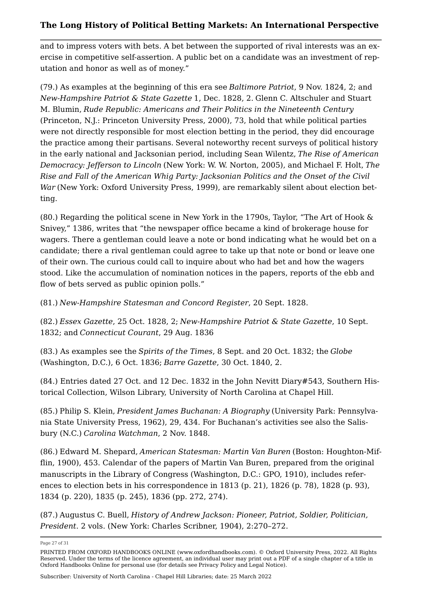and to impress voters with bets. A bet between the supported of rival interests was an exercise in competitive self-assertion. A public bet on a candidate was an investment of reputation and honor as well as of money."

<span id="page-26-0"></span>([79.](#page-11-11)) As examples at the beginning of this era see *Baltimore Patriot*, 9 Nov. 1824, 2; and *New-Hampshire Patriot & State Gazette* 1, Dec. 1828, 2. Glenn C. Altschuler and Stuart M. Blumin, *Rude Republic: Americans and Their Politics in the Nineteenth Century* (Princeton, N.J.: Princeton University Press, 2000), 73, hold that while political parties were not directly responsible for most election betting in the period, they did encourage the practice among their partisans. Several noteworthy recent surveys of political history in the early national and Jacksonian period, including Sean Wilentz, *The Rise of American Democracy: Jefferson to Lincoln* (New York: W. W. Norton, 2005), and Michael F. Holt, *The Rise and Fall of the American Whig Party: Jacksonian Politics and the Onset of the Civil War* (New York: Oxford University Press, 1999), are remarkably silent about election betting.

<span id="page-26-1"></span>([80.](#page-11-12)) Regarding the political scene in New York in the 1790s, Taylor, "The Art of Hook & Snivey," 1386, writes that "the newspaper office became a kind of brokerage house for wagers. There a gentleman could leave a note or bond indicating what he would bet on a candidate; there a rival gentleman could agree to take up that note or bond or leave one of their own. The curious could call to inquire about who had bet and how the wagers stood. Like the accumulation of nomination notices in the papers, reports of the ebb and flow of bets served as public opinion polls."

<span id="page-26-2"></span>([81.](#page-12-0)) *New-Hampshire Statesman and Concord Register*, 20 Sept. 1828.

<span id="page-26-3"></span>([82.](#page-12-1)) *Essex Gazette*, 25 Oct. 1828, 2; *New-Hampshire Patriot & State Gazette*, 10 Sept. 1832; and *Connecticut Courant*, 29 Aug. 1836

<span id="page-26-4"></span>([83.](#page-12-2)) As examples see the *Spirits of the Times*, 8 Sept. and 20 Oct. 1832; the *Globe* (Washington, D.C.), 6 Oct. 1836; *Barre Gazette*, 30 Oct. 1840, 2.

<span id="page-26-5"></span>([84.](#page-12-3)) Entries dated 27 Oct. and 12 Dec. 1832 in the John Nevitt Diary#543, Southern Historical Collection, Wilson Library, University of North Carolina at Chapel Hill.

<span id="page-26-6"></span>([85.](#page-12-4)) Philip S. Klein, *President James Buchanan: A Biography* (University Park: Pennsylvania State University Press, 1962), 29, 434. For Buchanan's activities see also the Salisbury (N.C.) *Carolina Watchman*, 2 Nov. 1848.

<span id="page-26-7"></span>([86.](#page-12-5)) Edward M. Shepard, *American Statesman: Martin Van Buren* (Boston: Houghton-Mifflin, 1900), 453. Calendar of the papers of Martin Van Buren, prepared from the original manuscripts in the Library of Congress (Washington, D.C.: GPO, 1910), includes references to election bets in his correspondence in 1813 (p. 21), 1826 (p. 78), 1828 (p. 93), 1834 (p. 220), 1835 (p. 245), 1836 (pp. 272, 274).

<span id="page-26-8"></span>([87.](#page-12-6)) Augustus C. Buell, *History of Andrew Jackson: Pioneer, Patriot, Soldier, Politician, President*. 2 vols. (New York: Charles Scribner, 1904), 2:270–272.

Page 27 of 31

PRINTED FROM OXFORD HANDBOOKS ONLINE (www.oxfordhandbooks.com). © Oxford University Press, 2022. All Rights Reserved. Under the terms of the licence agreement, an individual user may print out a PDF of a single chapter of a title in Oxford Handbooks Online for personal use (for details see [Privacy Policy](https://global.oup.com/privacy) and [Legal Notice\)](https://www.oxfordhandbooks.com/page/legal-notice).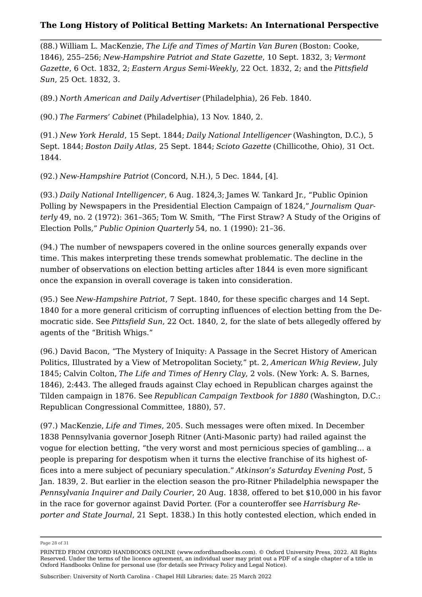<span id="page-27-0"></span>([88.](#page-12-7)) William L. MacKenzie, *The Life and Times of Martin Van Buren* (Boston: Cooke, 1846), 255–256; *New-Hampshire Patriot and State Gazette*, 10 Sept. 1832, 3; *Vermont Gazette*, 6 Oct. 1832, 2; *Eastern Argus Semi-Weekly*, 22 Oct. 1832, 2; and the *Pittsfield Sun*, 25 Oct. 1832, 3.

<span id="page-27-1"></span>([89.](#page-12-8)) *North American and Daily Advertiser* (Philadelphia), 26 Feb. 1840.

<span id="page-27-2"></span>([90.](#page-12-9)) The Farmers' Cabinet (Philadelphia), 13 Nov. 1840, 2.

<span id="page-27-3"></span>([91.](#page-12-10)) *New York Herald*, 15 Sept. 1844; *Daily National Intelligencer* (Washington, D.C.), 5 Sept. 1844; *Boston Daily Atlas*, 25 Sept. 1844; *Scioto Gazette* (Chillicothe, Ohio), 31 Oct. 1844.

<span id="page-27-4"></span>([92.](#page-12-11)) *New-Hampshire Patriot* (Concord, N.H.), 5 Dec. 1844, [4].

<span id="page-27-5"></span>([93.](#page-12-12)) *Daily National Intelligencer*, 6 Aug. 1824,3; James W. Tankard Jr., "Public Opinion Polling by Newspapers in the Presidential Election Campaign of 1824," Journalism Quar*terly* 49, no. 2 (1972): 361–365; Tom W. Smith, "The First Straw? A Study of the Origins of Election Polls," *Public Opinion Quarterly* 54, no. 1 (1990): 21–36.

<span id="page-27-6"></span>([94.](#page-13-1)) The number of newspapers covered in the online sources generally expands over time. This makes interpreting these trends somewhat problematic. The decline in the number of observations on election betting articles after 1844 is even more significant once the expansion in overall coverage is taken into consideration.

<span id="page-27-7"></span>([95.](#page-13-2)) See *New-Hampshire Patriot*, 7 Sept. 1840, for these specific charges and 14 Sept. 1840 for a more general criticism of corrupting influences of election betting from the Democratic side. See *Pittsfield Sun*, 22 Oct. 1840, 2, for the slate of bets allegedly offered by agents of the "British Whigs."

<span id="page-27-8"></span>([96.](#page-13-3)) David Bacon, "The Mystery of Iniquity: A Passage in the Secret History of American Politics, Illustrated by a View of Metropolitan Society," pt. 2, *American Whig Review*, July 1845; Calvin Colton, *The Life and Times of Henry Clay*, 2 vols. (New York: A. S. Barnes, 1846), 2:443. The alleged frauds against Clay echoed in Republican charges against the Tilden campaign in 1876. See *Republican Campaign Textbook for 1880* (Washington, D.C.: Republican Congressional Committee, 1880), 57.

<span id="page-27-9"></span>([97.](#page-13-4)) MacKenzie, *Life and Times*, 205. Such messages were often mixed. In December 1838 Pennsylvania governor Joseph Ritner (Anti-Masonic party) had railed against the vogue for election betting, "the very worst and most pernicious species of gambling… a people is preparing for despotism when it turns the elective franchise of its highest offices into a mere subject of pecuniary speculation." Atkinson's Saturday Evening Post, 5 Jan. 1839, 2. But earlier in the election season the pro-Ritner Philadelphia newspaper the *Pennsylvania Inquirer and Daily Courier*, 20 Aug. 1838, offered to bet \$10,000 in his favor in the race for governor against David Porter. (For a counteroffer see Harrisburg Re*porter and State Journal*, 21 Sept. 1838.) In this hotly contested election, which ended in

Page 28 of 31

PRINTED FROM OXFORD HANDBOOKS ONLINE (www.oxfordhandbooks.com). © Oxford University Press, 2022. All Rights Reserved. Under the terms of the licence agreement, an individual user may print out a PDF of a single chapter of a title in Oxford Handbooks Online for personal use (for details see [Privacy Policy](https://global.oup.com/privacy) and [Legal Notice\)](https://www.oxfordhandbooks.com/page/legal-notice).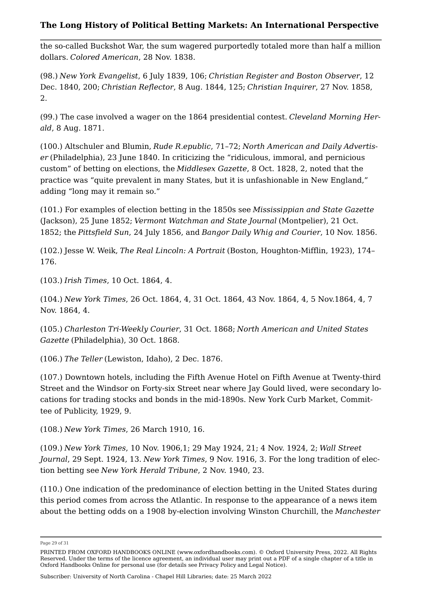the so-called Buckshot War, the sum wagered purportedly totaled more than half a million dollars. *Colored American*, 28 Nov. 1838.

<span id="page-28-0"></span>([98.](#page-13-5)) *New York Evangelist*, 6 July 1839, 106; *Christian Register and Boston Observer*, 12 Dec. 1840, 200; *Christian Reflector*, 8 Aug. 1844, 125; *Christian Inquirer*, 27 Nov. 1858, 2.

<span id="page-28-1"></span>([99.](#page-13-6)) The case involved a wager on the 1864 presidential contest. Cleveland Morning Her*ald*, 8 Aug. 1871.

<span id="page-28-2"></span>([100.](#page-13-7)) Altschuler and Blumin, *Rude R.epublic*, 71–72; North American and Daily Advertis*er* (Philadelphia), 23 June 1840. In criticizing the "ridiculous, immoral, and pernicious custom" of betting on elections, the *Middlesex Gazette*, 8 Oct. 1828, 2, noted that the practice was "quite prevalent in many States, but it is unfashionable in New England," adding "long may it remain so."

<span id="page-28-3"></span>([101.](#page-13-8)) For examples of election betting in the 1850s see *Mississippian and State Gazette* (Jackson), 25 June 1852; *Vermont Watchman and State Journal* (Montpelier), 21 Oct. 1852; the *Pittsfield Sun*, 24 July 1856, and *Bangor Daily Whig and Courier*, 10 Nov. 1856.

<span id="page-28-4"></span>([102.](#page-14-0)) Jesse W. Weik, *The Real Lincoln: A Portrait* (Boston, Houghton-Mifflin, 1923), 174– 176.

<span id="page-28-5"></span>([103.](#page-14-1)) *Irish Times*, 10 Oct. 1864, 4.

<span id="page-28-6"></span>([104.](#page-14-2)) *New York Times*, 26 Oct. 1864, 4, 31 Oct. 1864, 43 Nov. 1864, 4, 5 Nov.1864, 4, 7 Nov. 1864, 4.

<span id="page-28-7"></span>([105.](#page-14-3)) *Charleston Tri-Weekly Courier*, 31 Oct. 1868; *North American and United States Gazette* (Philadelphia), 30 Oct. 1868.

<span id="page-28-8"></span>([106.](#page-14-4)) *The Teller* (Lewiston, Idaho), 2 Dec. 1876.

<span id="page-28-9"></span>([107.](#page-15-1)) Downtown hotels, including the Fifth Avenue Hotel on Fifth Avenue at Twenty-third Street and the Windsor on Forty-six Street near where Jay Gould lived, were secondary locations for trading stocks and bonds in the mid-1890s. New York Curb Market, Committee of Publicity, 1929, 9.

<span id="page-28-10"></span>([108.](#page-15-2)) *New York Times*, 26 March 1910, 16.

<span id="page-28-11"></span>([109.](#page-15-3)) *New York Times*, 10 Nov. 1906,1; 29 May 1924, 21; 4 Nov. 1924, 2; *Wall Street Journal*, 29 Sept. 1924, 13. *New York Times*, 9 Nov. 1916, 3. For the long tradition of election betting see *New York Herald Tribune*, 2 Nov. 1940, 23.

<span id="page-28-12"></span>([110.](#page-15-4)) One indication of the predominance of election betting in the United States during this period comes from across the Atlantic. In response to the appearance of a news item about the betting odds on a 1908 by-election involving Winston Churchill, the *Manchester* 

Page 29 of 31

PRINTED FROM OXFORD HANDBOOKS ONLINE (www.oxfordhandbooks.com). © Oxford University Press, 2022. All Rights Reserved. Under the terms of the licence agreement, an individual user may print out a PDF of a single chapter of a title in Oxford Handbooks Online for personal use (for details see [Privacy Policy](https://global.oup.com/privacy) and [Legal Notice\)](https://www.oxfordhandbooks.com/page/legal-notice).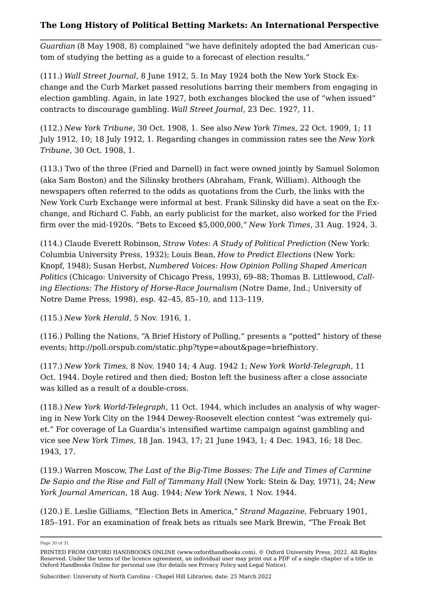*Guardian* (8 May 1908, 8) complained "we have definitely adopted the bad American custom of studying the betting as a guide to a forecast of election results."

<span id="page-29-0"></span>([111.](#page-15-5)) *Wall Street Journal*, 8 June 1912, 5. In May 1924 both the New York Stock Exchange and the Curb Market passed resolutions barring their members from engaging in election gambling. Again, in late 1927, both exchanges blocked the use of "when issued" contracts to discourage gambling. *Wall Street Journal*, 23 Dec. 1927, 11.

<span id="page-29-1"></span>([112.](#page-16-0)) *New York Tribune*, 30 Oct. 1908, 1. See also *New York Times*, 22 Oct. 1909, 1; 11 July 1912, 10; 18 July 1912, 1. Regarding changes in commission rates see the *New York Tribune*, 30 Oct. 1908, 1.

<span id="page-29-2"></span>([113.](#page-16-1)) Two of the three (Fried and Darnell) in fact were owned jointly by Samuel Solomon (aka Sam Boston) and the Silinsky brothers (Abraham, Frank, William). Although the newspapers often referred to the odds as quotations from the Curb, the links with the New York Curb Exchange were informal at best. Frank Silinsky did have a seat on the Exchange, and Richard C. Fabb, an early publicist for the market, also worked for the Fried firm over the mid-1920s. "Bets to Exceed \$5,000,000," *New York Times*, 31 Aug. 1924, 3.

<span id="page-29-3"></span>([114.](#page-17-1)) Claude Everett Robinson, *Straw Votes: A Study of Political Prediction* (New York: Columbia University Press, 1932); Louis Bean, *How to Predict Elections* (New York: Knopf, 1948); Susan Herbst, *Numbered Voices: How Opinion Polling Shaped American Politics* (Chicago: University of Chicago Press, 1993), 69–88; Thomas B. Littlewood, Call*ing Elections: The History of Horse-Race Journalism* (Notre Dame, Ind.; University of Notre Dame Press, 1998), esp. 42–45, 85–10, and 113–119.

<span id="page-29-4"></span>([115.](#page-17-2)) *New York Herald*, 5 Nov. 1916, 1.

<span id="page-29-5"></span>([116.](#page-17-3)) Polling the Nations, "A Brief History of Polling," presents a "potted" history of these events; [http://poll.orspub.com/static.php?type=about&page=briefhistory.](http://poll.orspub.com/static.php?type=about&page=briefhistory)

<span id="page-29-6"></span>([117.](#page-18-0)) *New York Times*, 8 Nov. 1940 14; 4 Aug. 1942 1; *New York World-Telegraph*, 11 Oct. 1944. Doyle retired and then died; Boston left the business after a close associate was killed as a result of a double-cross.

<span id="page-29-7"></span>([118.](#page-18-1)) *New York World-Telegraph*, 11 Oct. 1944, which includes an analysis of why wagering in New York City on the 1944 Dewey-Roosevelt election contest "was extremely quiet." For coverage of La Guardia's intensified wartime campaign against gambling and vice see *New York Times*, 18 Jan. 1943, 17; 21 June 1943, 1; 4 Dec. 1943, 16; 18 Dec. 1943, 17.

<span id="page-29-8"></span>([119.](#page-18-2)) Warren Moscow, *The Last of the Big-Time Bosses: The Life and Times of Carmine De Sapio and the Rise and Fall of Tammany Hall* (New York: Stein & Day, 1971), 24; *New York Journal American*, 18 Aug. 1944; *New York News*, 1 Nov. 1944.

<span id="page-29-9"></span>([120.](#page-18-3)) E. Leslie Gilliams, "Election Bets in America," *Strand Magazine*, February 1901, 185–191. For an examination of freak bets as rituals see Mark Brewin, "The Freak Bet

Page 30 of 31

PRINTED FROM OXFORD HANDBOOKS ONLINE (www.oxfordhandbooks.com). © Oxford University Press, 2022. All Rights Reserved. Under the terms of the licence agreement, an individual user may print out a PDF of a single chapter of a title in Oxford Handbooks Online for personal use (for details see [Privacy Policy](https://global.oup.com/privacy) and [Legal Notice\)](https://www.oxfordhandbooks.com/page/legal-notice).